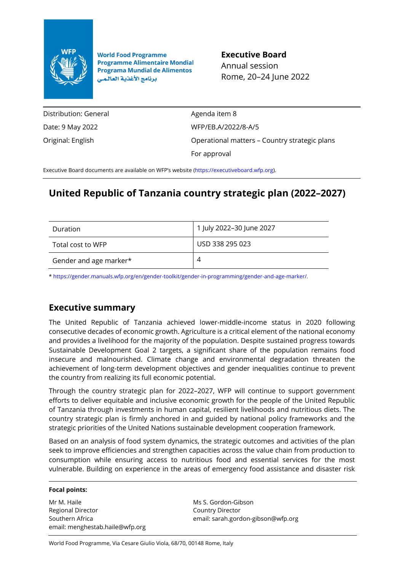

**World Food Programme Programme Alimentaire Mondial Programa Mundial de Alimentos** برنامج الأغذية العالمي

**Executive Board** Annual session Rome, 20–24 June 2022

Distribution: General Date: 9 May 2022 Original: English

Agenda item 8 WFP/EB.A/2022/8-A/5 Operational matters – Country strategic plans For approval

Executive Board documents are available on WFP's website [\(https://executiveboard.wfp.org\)](https://executiveboard.wfp.org/).

# **United Republic of Tanzania country strategic plan (2022–2027)**

| Duration               | 1 July 2022-30 June 2027 |
|------------------------|--------------------------|
| Total cost to WFP      | USD 338 295 023          |
| Gender and age marker* |                          |

[\\* https://gender.manuals.wfp.org/en/gender-toolkit/gender-in-programming/gender-and-age-marker/.](https://gender.manuals.wfp.org/en/gender-toolkit/gender-in-programming/gender-and-age-marker/)

## **Executive summary**

The United Republic of Tanzania achieved lower-middle-income status in 2020 following consecutive decades of economic growth. Agriculture is a critical element of the national economy and provides a livelihood for the majority of the population. Despite sustained progress towards Sustainable Development Goal 2 targets, a significant share of the population remains food insecure and malnourished. Climate change and environmental degradation threaten the achievement of long-term development objectives and gender inequalities continue to prevent the country from realizing its full economic potential.

Through the country strategic plan for 2022–2027, WFP will continue to support government efforts to deliver equitable and inclusive economic growth for the people of the United Republic of Tanzania through investments in human capital, resilient livelihoods and nutritious diets. The country strategic plan is firmly anchored in and guided by national policy frameworks and the strategic priorities of the United Nations sustainable development cooperation framework.

Based on an analysis of food system dynamics, the strategic outcomes and activities of the plan seek to improve efficiencies and strengthen capacities across the value chain from production to consumption while ensuring access to nutritious food and essential services for the most vulnerable. Building on experience in the areas of emergency food assistance and disaster risk

#### **Focal points:**

Mr M. Haile Regional Director Southern Africa email: menghestab.haile@wfp.org Ms S. Gordon-Gibson Country Director email: sarah.gordon-gibson@wfp.org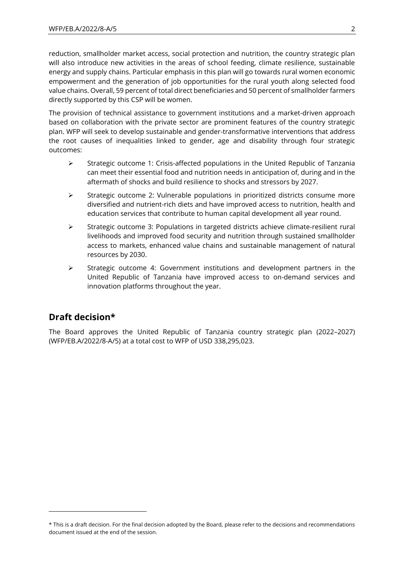reduction, smallholder market access, social protection and nutrition, the country strategic plan will also introduce new activities in the areas of school feeding, climate resilience, sustainable energy and supply chains. Particular emphasis in this plan will go towards rural women economic empowerment and the generation of job opportunities for the rural youth along selected food value chains. Overall, 59 percent of total direct beneficiaries and 50 percent of smallholder farmers directly supported by this CSP will be women.

The provision of technical assistance to government institutions and a market-driven approach based on collaboration with the private sector are prominent features of the country strategic plan. WFP will seek to develop sustainable and gender-transformative interventions that address the root causes of inequalities linked to gender, age and disability through four strategic outcomes:

- ➢ Strategic outcome 1: Crisis-affected populations in the United Republic of Tanzania can meet their essential food and nutrition needs in anticipation of, during and in the aftermath of shocks and build resilience to shocks and stressors by 2027.
- ➢ Strategic outcome 2: Vulnerable populations in prioritized districts consume more diversified and nutrient-rich diets and have improved access to nutrition, health and education services that contribute to human capital development all year round.
- ➢ Strategic outcome 3: Populations in targeted districts achieve climate-resilient rural livelihoods and improved food security and nutrition through sustained smallholder access to markets, enhanced value chains and sustainable management of natural resources by 2030.
- ➢ Strategic outcome 4: Government institutions and development partners in the United Republic of Tanzania have improved access to on-demand services and innovation platforms throughout the year.

## **Draft decision\***

The Board approves the United Republic of Tanzania country strategic plan (2022–2027) (WFP/EB.A/2022/8-A/5) at a total cost to WFP of USD 338,295,023.

<sup>\*</sup> This is a draft decision. For the final decision adopted by the Board, please refer to the decisions and recommendations document issued at the end of the session.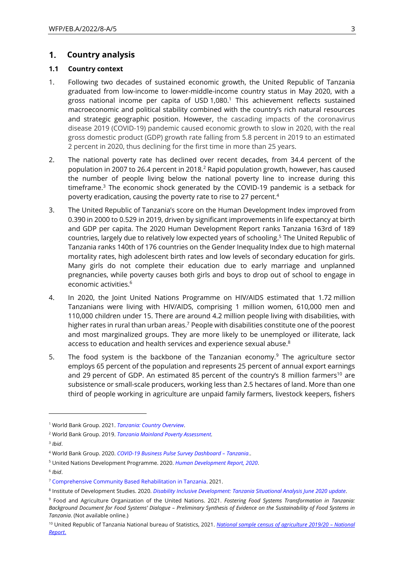#### $1.$ **Country analysis**

#### **1.1 Country context**

- 1. Following two decades of sustained economic growth, the United Republic of Tanzania graduated from low-income to lower-middle-income country status in May 2020, with a gross national income per capita of USD 1,080.<sup>1</sup> This achievement reflects sustained macroeconomic and political stability combined with the country's rich natural resources and strategic geographic position. However, the cascading impacts of the coronavirus disease 2019 (COVID-19) pandemic caused economic growth to slow in 2020, with the real gross domestic product (GDP) growth rate falling from 5.8 percent in 2019 to an estimated 2 percent in 2020, thus declining for the first time in more than 25 years.
- 2. The national poverty rate has declined over recent decades, from 34.4 percent of the population in 2007 to 26.4 percent in 2018.<sup>2</sup> Rapid population growth, however, has caused the number of people living below the national poverty line to increase during this timeframe.<sup>3</sup> The economic shock generated by the COVID-19 pandemic is a setback for poverty eradication, causing the poverty rate to rise to 27 percent.<sup>4</sup>
- 3. The United Republic of Tanzania's score on the Human Development Index improved from 0.390 in 2000 to 0.529 in 2019, driven by significant improvements in life expectancy at birth and GDP per capita. The 2020 Human Development Report ranks Tanzania 163rd of 189 countries, largely due to relatively low expected years of schooling. <sup>5</sup> The United Republic of Tanzania ranks 140th of 176 countries on the Gender Inequality Index due to high maternal mortality rates, high adolescent birth rates and low levels of secondary education for girls. Many girls do not complete their education due to early marriage and unplanned pregnancies, while poverty causes both girls and boys to drop out of school to engage in economic activities.<sup>6</sup>
- 4. In 2020, the Joint United Nations Programme on HIV/AIDS estimated that 1.72 million Tanzanians were living with HIV/AIDS, comprising 1 million women, 610,000 men and 110,000 children under 15. There are around 4.2 million people living with disabilities, with higher rates in rural than urban areas.<sup>7</sup> People with disabilities constitute one of the poorest and most marginalized groups. They are more likely to be unemployed or illiterate, lack access to education and health services and experience sexual abuse. ${}^{8}$
- 5. The food system is the backbone of the Tanzanian economy.<sup>9</sup> The agriculture sector employs 65 percent of the population and represents 25 percent of annual export earnings and 29 percent of GDP. An estimated 85 percent of the country's 8 million farmers<sup>10</sup> are subsistence or small-scale producers, working less than 2.5 hectares of land. More than one third of people working in agriculture are unpaid family farmers, livestock keepers, fishers

<sup>1</sup> World Bank Group. 2021. *[Tanzania: Country Overview](https://www.worldbank.org/en/country/tanzania/overview#1)*.

<sup>2</sup> World Bank Group. 2019. *[Tanzania Mainland Poverty Assessment.](http://documents1.worldbank.org/curated/en/431111575939381087/pdf/Executive-Summary.pdf)*

<sup>3</sup> *Ibid*.

<sup>4</sup> World Bank Group. 2020. *[COVID-19 Business Pulse Survey](https://www.worldbank.org/en/data/interactive/2021/01/19/covid-19-business-pulse-survey-dashboard) Dashboard – Tanzania*..

<sup>5</sup> United Nations Development Programme. 2020. *[Human Development Report, 2020](http://hdr.undp.org/en/2020-report)*.

<sup>6</sup> *Ibid*.

<sup>7</sup> Comprehensive Community [Based Rehabilitation in Tanzania.](http://www.ccbrt.or.tz/) 2021.

<sup>8</sup> Institute of Development Studies. 2020. *[Disability Inclusive Development: Tanzania Situational Analysis June 2020 update](https://opendocs.ids.ac.uk/opendocs/handle/20.500.12413/15509)*.

<sup>9</sup> Food and Agriculture Organization of the United Nations. 2021. *Fostering Food Systems Transformation in Tanzania: Background Document for Food Systems' Dialogue – Preliminary Synthesis of Evidence on the Sustainability of Food Systems in Tanzania*. (Not available online.)

<sup>10</sup> United Republic of Tanzania National bureau of Statistics, 2021. *[National sample census of agriculture 2019/20](https://www.nbs.go.tz/index.php/en/census-surveys/agriculture-statistics/661-2019-20-national-sample-census-of-agriculture-main-report) – National Report*.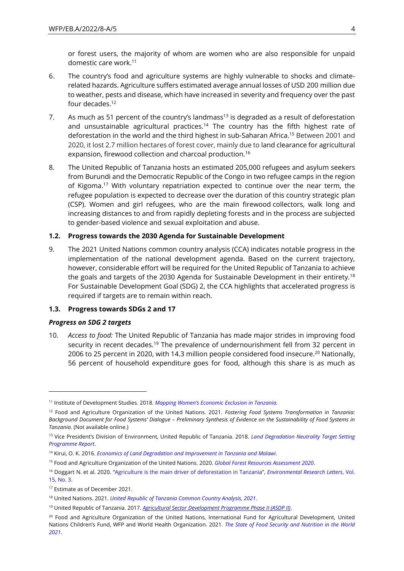or forest users, the majority of whom are women who are also responsible for unpaid domestic care work.<sup>11</sup>

- 6. The country's food and agriculture systems are highly vulnerable to shocks and climaterelated hazards. Agriculture suffers estimated average annual losses of USD 200 million due to weather, pests and disease, which have increased in severity and frequency over the past four decades.<sup>12</sup>
- 7. As much as 51 percent of the country's landmass<sup>13</sup> is degraded as a result of deforestation and unsustainable agricultural practices.<sup>14</sup> The country has the fifth highest rate of deforestation in the world and the third highest in sub-Saharan Africa.<sup>15</sup> Between 2001 and 2020, it lost 2.7 million hectares of forest cover, mainly due to land clearance for agricultural expansion, firewood collection and charcoal production.<sup>16</sup>
- 8. The United Republic of Tanzania hosts an estimated 205,000 refugees and asylum seekers from Burundi and the Democratic Republic of the Congo in two refugee camps in the region of Kigoma.<sup>17</sup> With voluntary repatriation expected to continue over the near term, the refugee population is expected to decrease over the duration of this country strategic plan (CSP). Women and girl refugees, who are the main firewood collectors, walk long and increasing distances to and from rapidly depleting forests and in the process are subjected to gender-based violence and sexual exploitation and abuse.

### **1.2. Progress towards the 2030 Agenda for Sustainable Development**

9. The 2021 United Nations common country analysis (CCA) indicates notable progress in the implementation of the national development agenda. Based on the current trajectory, however, considerable effort will be required for the United Republic of Tanzania to achieve the goals and targets of the 2030 Agenda for Sustainable Development in their entirety.<sup>18</sup> For Sustainable Development Goal (SDG) 2, the CCA highlights that accelerated progress is required if targets are to remain within reach.

#### **1.3. Progress towards SDGs 2 and 17**

#### *Progress on SDG 2 targets*

10. *Access to food:* The United Republic of Tanzania has made major strides in improving food security in recent decades.<sup>19</sup> The prevalence of undernourishment fell from 32 percent in 2006 to 25 percent in 2020, with 14.3 million people considered food insecure.<sup>20</sup> Nationally, 56 percent of household expenditure goes for food, although this share is as much as

<sup>11</sup> Institute of Development Studies. 2018. *[Mapping Women's Economic Exclusion in Tanzania](https://www.ids.ac.uk/publications/mapping-womens-economic-exclusion-in-tanzania/).* 

<sup>12</sup> Food and Agriculture Organization of the United Nations. 2021. *Fostering Food Systems Transformation in Tanzania: Background Document for Food Systems' Dialogue – Preliminary Synthesis of Evidence on the Sustainability of Food Systems in Tanzania*. (Not available online.)

<sup>13</sup> Vice President's Division of Environment, United Republic of Tanzania. 2018. *[Land Degradation Neutrality Target Setting](https://knowledge.unccd.int/countries/tanzania-united-republic)  [Programme Report](https://knowledge.unccd.int/countries/tanzania-united-republic)*.

<sup>14</sup> Kirui, O. K. 2016. *[Economics of Land Degradation and Improvement in Tanzania and Malawi](https://www.researchgate.net/publication/295075622_Economics_of_Land_Degradation_and_Improvement_in_Tanzania_and_Malawi)*.

<sup>15</sup> Food and Agriculture Organization of the United Nations. 2020. *[Global Forest Resources Assessment](https://www.fao.org/forest-resources-assessment/2020/en/) 2020*.

<sup>16</sup> Doggart N. et al. 2020. ["Agriculture is the main driver of deforestation in Tanzania"](https://iopscience.iop.org/article/10.1088/1748-9326/ab6b35.), *Environmental Research Letters*, Vol. [15, No. 3.](https://iopscience.iop.org/article/10.1088/1748-9326/ab6b35.) 

<sup>17</sup> Estimate as of December 2021.

<sup>18</sup> United Nations. 2021. *[United Republic of Tanzania Common Country Analysis, 2021](https://tanzania.un.org/en/126737-united-republic-tanzania-common-country-analysis-2021ppt)*.

<sup>19</sup> United Republic of Tanzania. 2017. *[Agricultural Sector Development Programme Phase II \(ASDP II\)](https://asdp.kilimo.go.tz/)*.

<sup>&</sup>lt;sup>20</sup> Food and Agriculture Organization of the United Nations, International Fund for Agricultural Development, United Nations Children's Fund, WFP and World Health Organization. 2021. *[The State of Food Security and Nutrition in the World](https://www.fao.org/documents/card/es/c/cb4474en/)  [2021](https://www.fao.org/documents/card/es/c/cb4474en/)*.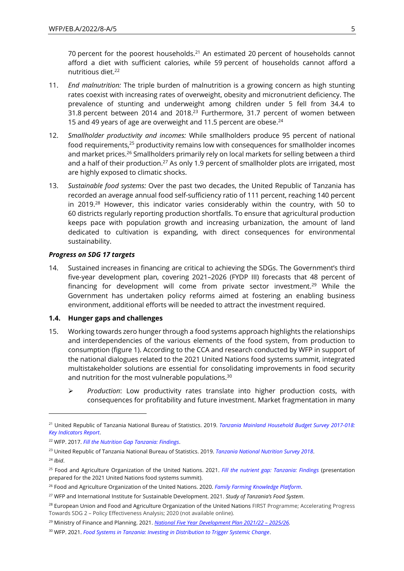70 percent for the poorest households.<sup>21</sup> An estimated 20 percent of households cannot afford a diet with sufficient calories, while 59 percent of households cannot afford a nutritious diet.<sup>22</sup>

- 11. *End malnutrition:* The triple burden of malnutrition is a growing concern as high stunting rates coexist with increasing rates of overweight, obesity and micronutrient deficiency. The prevalence of stunting and underweight among children under 5 fell from 34.4 to 31.8 percent between 2014 and 2018.<sup>23</sup> Furthermore, 31.7 percent of women between 15 and 49 years of age are overweight and 11.5 percent are obese.<sup>24</sup>
- 12. *Smallholder productivity and incomes:* While smallholders produce 95 percent of national food requirements,<sup>25</sup> productivity remains low with consequences for smallholder incomes and market prices.<sup>26</sup> Smallholders primarily rely on local markets for selling between a third and a half of their production.<sup>27</sup> As only 1.9 percent of smallholder plots are irrigated, most are highly exposed to climatic shocks.
- 13. *Sustainable food systems:* Over the past two decades, the United Republic of Tanzania has recorded an average annual food self-sufficiency ratio of 111 percent, reaching 140 percent in 2019.<sup>28</sup> However, this indicator varies considerably within the country, with 50 to 60 districts regularly reporting production shortfalls. To ensure that agricultural production keeps pace with population growth and increasing urbanization, the amount of land dedicated to cultivation is expanding, with direct consequences for environmental sustainability.

#### *Progress on SDG 17 targets*

14. Sustained increases in financing are critical to achieving the SDGs. The Government's third five-year development plan, covering 2021–2026 (FYDP III) forecasts that 48 percent of financing for development will come from private sector investment.<sup>29</sup> While the Government has undertaken policy reforms aimed at fostering an enabling business environment, additional efforts will be needed to attract the investment required.

#### **1.4. Hunger gaps and challenges**

- 15. Working towards zero hunger through a food systems approach highlights the relationships and interdependencies of the various elements of the food system, from production to consumption (figure 1). According to the CCA and research conducted by WFP in support of the national dialogues related to the 2021 United Nations food systems summit, integrated multistakeholder solutions are essential for consolidating improvements in food security and nutrition for the most vulnerable populations.<sup>30</sup>
	- ➢ *Production*: Low productivity rates translate into higher production costs, with consequences for profitability and future investment. Market fragmentation in many

<sup>21</sup> United Republic of Tanzania National Bureau of Statistics. 2019. *[Tanzania Mainland Household Budget Survey](https://www.nbs.go.tz/nbs/takwimu/hbs/2017_18_HBS_Key_Indicators_Report_Engl.pdf) 2017-018: [Key Indicators Report](https://www.nbs.go.tz/nbs/takwimu/hbs/2017_18_HBS_Key_Indicators_Report_Engl.pdf)*.

<sup>22</sup> WFP. 2017. *[Fill the Nutrition Gap Tanzania: Findings](https://docs.wfp.org/api/documents/WFP-0000023276/download/?%20Iframe)*.

<sup>23</sup> United Republic of Tanzania National Bureau of Statistics. 2019. *[Tanzania National Nutrition Survey 2018](https://www.unicef.org/tanzania/reports/tanzania-national-nutrition-survey-2018)*. <sup>24</sup> *Ibid*.

<sup>25</sup> Food and Agriculture Organization of the United Nations. 2021. *[Fill the nutrient gap: Tanzania: Findings](https://docs.wfp.org/api/documents/WFP-0000023276/download/?%20Iframe)* (presentation prepared for the 2021 United Nations food systems summit).

<sup>26</sup> Food and Agriculture Organization of the United Nations. 2020. *[Family Farming Knowledge Platform](https://www.fao.org/family-farming/countries/en/)*.

<sup>27</sup> WFP and International Institute for Sustainable Development. 2021. *Study of Tanzania's Food System*.

<sup>&</sup>lt;sup>28</sup> European Union and Food and Agriculture Organization of the United Nations FIRST Programme; Accelerating Progress Towards SDG 2 – Policy Effectiveness Analysis; 2020 (not available online).

<sup>29</sup> Ministry of Finance and Planning. 2021. *[National Five Year Development Plan 2021/22](https://mof.go.tz/docs/news/FYDP%20III%20English.pdf) – 2025/26.*

<sup>30</sup> WFP. 2021. *[Food Systems in Tanzania: Investing in Distribution to Trigger Systemic Change](https://newgo.wfp.org/documents/food-systems-tanzania-investing-distribution-to-trigger-change)*.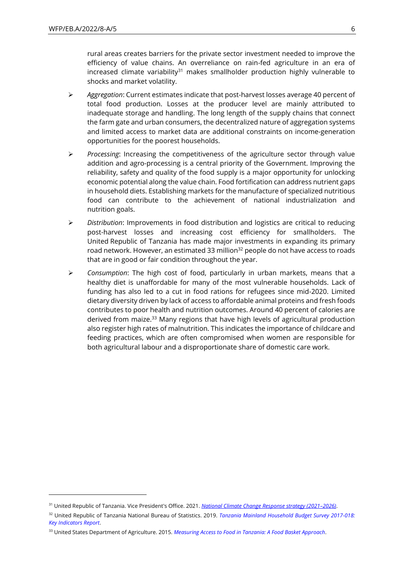rural areas creates barriers for the private sector investment needed to improve the efficiency of value chains. An overreliance on rain-fed agriculture in an era of increased climate variability $31$  makes smallholder production highly vulnerable to shocks and market volatility.

- ➢ *Aggregation*: Current estimates indicate that post-harvest losses average 40 percent of total food production. Losses at the producer level are mainly attributed to inadequate storage and handling. The long length of the supply chains that connect the farm gate and urban consumers, the decentralized nature of aggregation systems and limited access to market data are additional constraints on income-generation opportunities for the poorest households.
- ➢ *Processing*: Increasing the competitiveness of the agriculture sector through value addition and agro-processing is a central priority of the Government. Improving the reliability, safety and quality of the food supply is a major opportunity for unlocking economic potential along the value chain. Food fortification can address nutrient gaps in household diets. Establishing markets for the manufacture of specialized nutritious food can contribute to the achievement of national industrialization and nutrition goals.
- ➢ *Distribution*: Improvements in food distribution and logistics are critical to reducing post-harvest losses and increasing cost efficiency for smallholders. The United Republic of Tanzania has made major investments in expanding its primary road network. However, an estimated 33 million<sup>32</sup> people do not have access to roads that are in good or fair condition throughout the year.
- ➢ *Consumption*: The high cost of food, particularly in urban markets, means that a healthy diet is unaffordable for many of the most vulnerable households. Lack of funding has also led to a cut in food rations for refugees since mid-2020. Limited dietary diversity driven by lack of access to affordable animal proteins and fresh foods contributes to poor health and nutrition outcomes. Around 40 percent of calories are derived from maize.<sup>33</sup> Many regions that have high levels of agricultural production also register high rates of malnutrition. This indicates the importance of childcare and feeding practices, which are often compromised when women are responsible for both agricultural labour and a disproportionate share of domestic care work.

<sup>31</sup> United Republic of Tanzania. Vice President's Office. 2021. *[National Climate Change Response strategy \(2021](https://www.vpo.go.tz/uploads/publications/en-1640772745-NCCRS%202021-2026_%20Final_PK.pdf)–2026)*.

<sup>32</sup> United Republic of Tanzania National Bureau of Statistics. 2019. *[Tanzania Mainland Household Budget Survey 2017-018:](https://www.nbs.go.tz/nbs/takwimu/hbs/2017_18_HBS_Key_Indicators_Report_Engl.pdf)  [Key Indicators Report](https://www.nbs.go.tz/nbs/takwimu/hbs/2017_18_HBS_Key_Indicators_Report_Engl.pdf)*.

<sup>33</sup> United States Department of Agriculture. 2015. *[Measuring Access to Food in Tanzania: A](https://www.ers.usda.gov/amber-waves/2015/march/measuring-access-to-food-in-tanzania-a-food-basket-approach) Food Basket Approach*.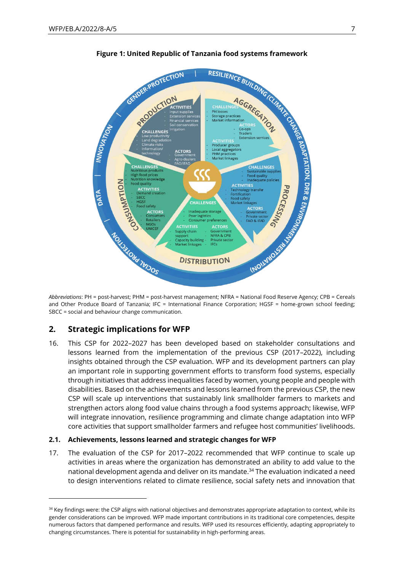

**Figure 1: United Republic of Tanzania food systems framework**

*Abbreviations*: PH = post-harvest; PHM = post-harvest management; NFRA = National Food Reserve Agency; CPB = Cereals and Other Produce Board of Tanzania; IFC = International Finance Corporation; HGSF = home-grown school feeding; SBCC = social and behaviour change communication.

### **2. Strategic implications for WFP**

16. This CSP for 2022–2027 has been developed based on stakeholder consultations and lessons learned from the implementation of the previous CSP (2017–2022), including insights obtained through the CSP evaluation. WFP and its development partners can play an important role in supporting government efforts to transform food systems, especially through initiatives that address inequalities faced by women, young people and people with disabilities. Based on the achievements and lessons learned from the previous CSP, the new CSP will scale up interventions that sustainably link smallholder farmers to markets and strengthen actors along food value chains through a food systems approach; likewise, WFP will integrate innovation, resilience programming and climate change adaptation into WFP core activities that support smallholder farmers and refugee host communities' livelihoods.

#### **2.1. Achievements, lessons learned and strategic changes for WFP**

17. The evaluation of the CSP for 2017–2022 recommended that WFP continue to scale up activities in areas where the organization has demonstrated an ability to add value to the national development agenda and deliver on its mandate.<sup>34</sup> The evaluation indicated a need to design interventions related to climate resilience, social safety nets and innovation that

<sup>&</sup>lt;sup>34</sup> Key findings were: the CSP aligns with national objectives and demonstrates appropriate adaptation to context, while its gender considerations can be improved. WFP made important contributions in its traditional core competencies, despite numerous factors that dampened performance and results. WFP used its resources efficiently, adapting appropriately to changing circumstances. There is potential for sustainability in high-performing areas.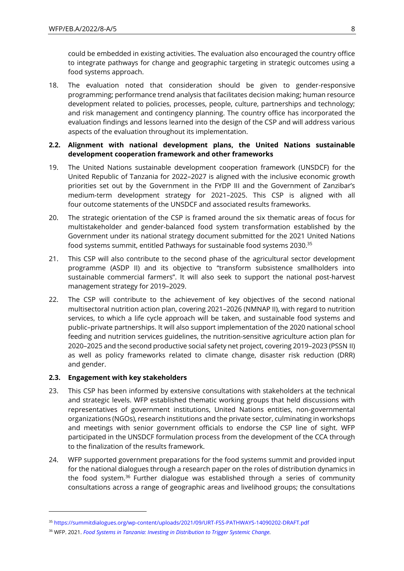could be embedded in existing activities. The evaluation also encouraged the country office to integrate pathways for change and geographic targeting in strategic outcomes using a food systems approach.

18. The evaluation noted that consideration should be given to gender-responsive programming; performance trend analysis that facilitates decision making; human resource development related to policies, processes, people, culture, partnerships and technology; and risk management and contingency planning. The country office has incorporated the evaluation findings and lessons learned into the design of the CSP and will address various aspects of the evaluation throughout its implementation.

### **2.2. Alignment with national development plans, the United Nations sustainable development cooperation framework and other frameworks**

- 19. The United Nations sustainable development cooperation framework (UNSDCF) for the United Republic of Tanzania for 2022–2027 is aligned with the inclusive economic growth priorities set out by the Government in the FYDP III and the Government of Zanzibar's medium-term development strategy for 2021–2025. This CSP is aligned with all four outcome statements of the UNSDCF and associated results frameworks.
- 20. The strategic orientation of the CSP is framed around the six thematic areas of focus for multistakeholder and gender-balanced food system transformation established by the Government under its national strategy document submitted for the 2021 United Nations food systems summit, entitled Pathways for sustainable food systems 2030. 35
- 21. This CSP will also contribute to the second phase of the agricultural sector development programme (ASDP II) and its objective to "transform subsistence smallholders into sustainable commercial farmers". It will also seek to support the national post-harvest management strategy for 2019–2029.
- 22. The CSP will contribute to the achievement of key objectives of the second national multisectoral nutrition action plan, covering 2021–2026 (NMNAP II), with regard to nutrition services, to which a life cycle approach will be taken, and sustainable food systems and public–private partnerships. It will also support implementation of the 2020 national school feeding and nutrition services guidelines, the nutrition-sensitive agriculture action plan for 2020–2025 and the second productive social safety net project, covering 2019–2023 (PSSN II) as well as policy frameworks related to climate change, disaster risk reduction (DRR) and gender.

### **2.3. Engagement with key stakeholders**

- 23. This CSP has been informed by extensive consultations with stakeholders at the technical and strategic levels. WFP established thematic working groups that held discussions with representatives of government institutions, United Nations entities, non-governmental organizations (NGOs), research institutions and the private sector, culminating in workshops and meetings with senior government officials to endorse the CSP line of sight. WFP participated in the UNSDCF formulation process from the development of the CCA through to the finalization of the results framework.
- 24. WFP supported government preparations for the food systems summit and provided input for the national dialogues through a research paper on the roles of distribution dynamics in the food system.<sup>36</sup> Further dialogue was established through a series of community consultations across a range of geographic areas and livelihood groups; the consultations

<sup>35</sup> <https://summitdialogues.org/wp-content/uploads/2021/09/URT-FSS-PATHWAYS-14090202-DRAFT.pdf>

<sup>36</sup> WFP. 2021. *[Food Systems in Tanzania: Investing in Distribution to Trigger Systemic Change.](https://newgo.wfp.org/documents/food-systems-tanzania-investing-distribution-to-trigger-change)*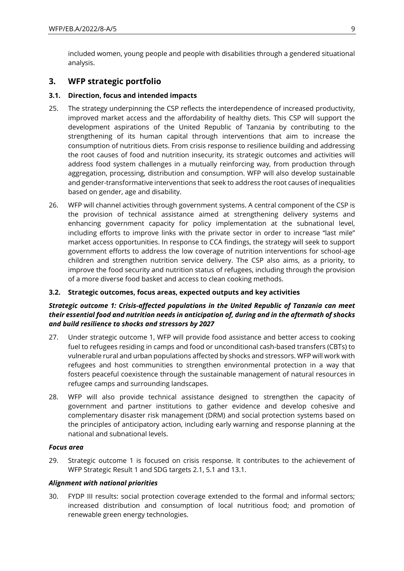included women, young people and people with disabilities through a gendered situational analysis.

## **3. WFP strategic portfolio**

### **3.1. Direction, focus and intended impacts**

- 25. The strategy underpinning the CSP reflects the interdependence of increased productivity, improved market access and the affordability of healthy diets. This CSP will support the development aspirations of the United Republic of Tanzania by contributing to the strengthening of its human capital through interventions that aim to increase the consumption of nutritious diets. From crisis response to resilience building and addressing the root causes of food and nutrition insecurity, its strategic outcomes and activities will address food system challenges in a mutually reinforcing way, from production through aggregation, processing, distribution and consumption. WFP will also develop sustainable and gender-transformative interventions that seek to address the root causes of inequalities based on gender, age and disability.
- 26. WFP will channel activities through government systems. A central component of the CSP is the provision of technical assistance aimed at strengthening delivery systems and enhancing government capacity for policy implementation at the subnational level, including efforts to improve links with the private sector in order to increase "last mile" market access opportunities. In response to CCA findings, the strategy will seek to support government efforts to address the low coverage of nutrition interventions for school-age children and strengthen nutrition service delivery. The CSP also aims, as a priority, to improve the food security and nutrition status of refugees, including through the provision of a more diverse food basket and access to clean cooking methods.

### **3.2. Strategic outcomes, focus areas, expected outputs and key activities**

### *Strategic outcome 1: Crisis-affected populations in the United Republic of Tanzania can meet their essential food and nutrition needs in anticipation of, during and in the aftermath of shocks and build resilience to shocks and stressors by 2027*

- 27. Under strategic outcome 1, WFP will provide food assistance and better access to cooking fuel to refugees residing in camps and food or unconditional cash-based transfers (CBTs) to vulnerable rural and urban populations affected by shocks and stressors. WFP will work with refugees and host communities to strengthen environmental protection in a way that fosters peaceful coexistence through the sustainable management of natural resources in refugee camps and surrounding landscapes.
- 28. WFP will also provide technical assistance designed to strengthen the capacity of government and partner institutions to gather evidence and develop cohesive and complementary disaster risk management (DRM) and social protection systems based on the principles of anticipatory action, including early warning and response planning at the national and subnational levels.

#### *Focus area*

29. Strategic outcome 1 is focused on crisis response. It contributes to the achievement of WFP Strategic Result 1 and SDG targets 2.1, 5.1 and 13.1.

#### *Alignment with national priorities*

30. FYDP III results: social protection coverage extended to the formal and informal sectors; increased distribution and consumption of local nutritious food; and promotion of renewable green energy technologies.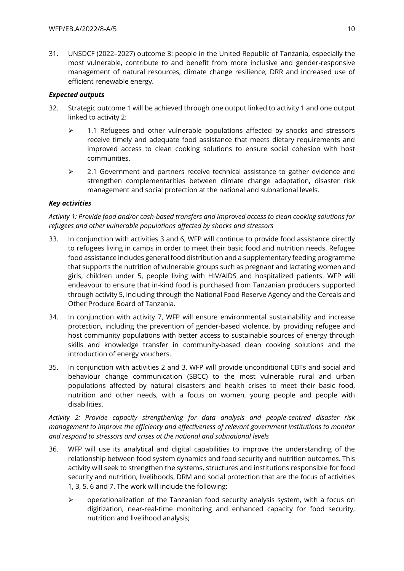31. UNSDCF (2022–2027) outcome 3: people in the United Republic of Tanzania, especially the most vulnerable, contribute to and benefit from more inclusive and gender-responsive management of natural resources, climate change resilience, DRR and increased use of efficient renewable energy.

### *Expected outputs*

- 32. Strategic outcome 1 will be achieved through one output linked to activity 1 and one output linked to activity 2:
	- ➢ 1.1 Refugees and other vulnerable populations affected by shocks and stressors receive timely and adequate food assistance that meets dietary requirements and improved access to clean cooking solutions to ensure social cohesion with host communities.
	- ➢ 2.1 Government and partners receive technical assistance to gather evidence and strengthen complementarities between climate change adaptation, disaster risk management and social protection at the national and subnational levels.

### *Key activities*

### *Activity 1: Provide food and/or cash-based transfers and improved access to clean cooking solutions for refugees and other vulnerable populations affected by shocks and stressors*

- 33. In conjunction with activities 3 and 6, WFP will continue to provide food assistance directly to refugees living in camps in order to meet their basic food and nutrition needs. Refugee food assistance includes general food distribution and a supplementary feeding programme that supports the nutrition of vulnerable groups such as pregnant and lactating women and girls, children under 5, people living with HIV/AIDS and hospitalized patients. WFP will endeavour to ensure that in-kind food is purchased from Tanzanian producers supported through activity 5, including through the National Food Reserve Agency and the Cereals and Other Produce Board of Tanzania.
- 34. In conjunction with activity 7, WFP will ensure environmental sustainability and increase protection, including the prevention of gender-based violence, by providing refugee and host community populations with better access to sustainable sources of energy through skills and knowledge transfer in community-based clean cooking solutions and the introduction of energy vouchers.
- 35. In conjunction with activities 2 and 3, WFP will provide unconditional CBTs and social and behaviour change communication (SBCC) to the most vulnerable rural and urban populations affected by natural disasters and health crises to meet their basic food, nutrition and other needs, with a focus on women, young people and people with disabilities.

*Activity 2: Provide capacity strengthening for data analysis and people-centred disaster risk management to improve the efficiency and effectiveness of relevant government institutions to monitor and respond to stressors and crises at the national and subnational levels*

- 36. WFP will use its analytical and digital capabilities to improve the understanding of the relationship between food system dynamics and food security and nutrition outcomes. This activity will seek to strengthen the systems, structures and institutions responsible for food security and nutrition, livelihoods, DRM and social protection that are the focus of activities 1, 3, 5, 6 and 7. The work will include the following:
	- $\triangleright$  operationalization of the Tanzanian food security analysis system, with a focus on digitization, near-real-time monitoring and enhanced capacity for food security, nutrition and livelihood analysis;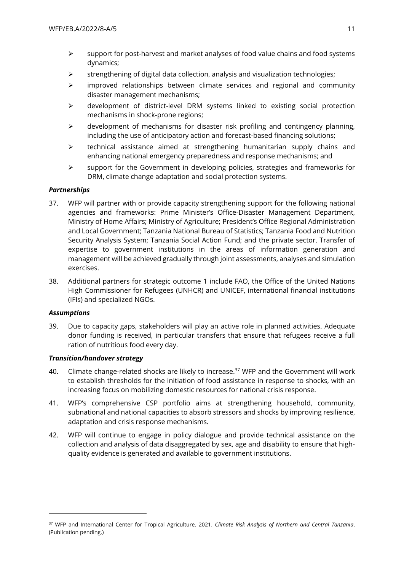- $\triangleright$  support for post-harvest and market analyses of food value chains and food systems dynamics;
- $\triangleright$  strengthening of digital data collection, analysis and visualization technologies;
- ➢ improved relationships between climate services and regional and community disaster management mechanisms;
- $\triangleright$  development of district-level DRM systems linked to existing social protection mechanisms in shock-prone regions;
- $\triangleright$  development of mechanisms for disaster risk profiling and contingency planning, including the use of anticipatory action and forecast-based financing solutions;
- ➢ technical assistance aimed at strengthening humanitarian supply chains and enhancing national emergency preparedness and response mechanisms; and
- $\triangleright$  support for the Government in developing policies, strategies and frameworks for DRM, climate change adaptation and social protection systems.

### *Partnerships*

- 37. WFP will partner with or provide capacity strengthening support for the following national agencies and frameworks: Prime Minister's Office-Disaster Management Department, Ministry of Home Affairs; Ministry of Agriculture; President's Office Regional Administration and Local Government; Tanzania National Bureau of Statistics; Tanzania Food and Nutrition Security Analysis System; Tanzania Social Action Fund; and the private sector. Transfer of expertise to government institutions in the areas of information generation and management will be achieved gradually through joint assessments, analyses and simulation exercises.
- 38. Additional partners for strategic outcome 1 include FAO, the Office of the United Nations High Commissioner for Refugees (UNHCR) and UNICEF, international financial institutions (IFIs) and specialized NGOs.

#### *Assumptions*

39. Due to capacity gaps, stakeholders will play an active role in planned activities. Adequate donor funding is received, in particular transfers that ensure that refugees receive a full ration of nutritious food every day.

#### *Transition/handover strategy*

- 40. Climate change-related shocks are likely to increase.<sup>37</sup> WFP and the Government will work to establish thresholds for the initiation of food assistance in response to shocks, with an increasing focus on mobilizing domestic resources for national crisis response.
- 41. WFP's comprehensive CSP portfolio aims at strengthening household, community, subnational and national capacities to absorb stressors and shocks by improving resilience, adaptation and crisis response mechanisms.
- 42. WFP will continue to engage in policy dialogue and provide technical assistance on the collection and analysis of data disaggregated by sex, age and disability to ensure that highquality evidence is generated and available to government institutions.

<sup>37</sup> WFP and International Center for Tropical Agriculture. 2021. *Climate Risk Analysis of Northern and Central Tanzania*. (Publication pending.)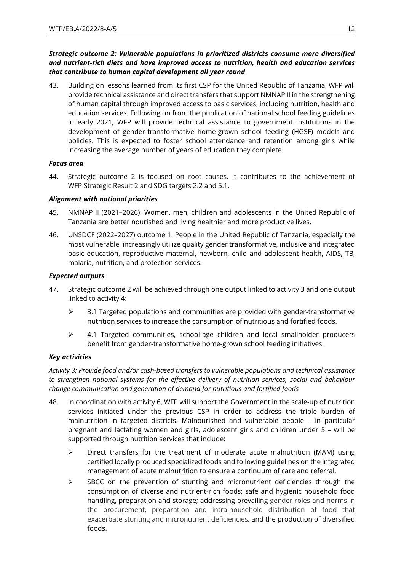### *Strategic outcome 2: Vulnerable populations in prioritized districts consume more diversified and nutrient-rich diets and have improved access to nutrition, health and education services that contribute to human capital development all year round*

43. Building on lessons learned from its first CSP for the United Republic of Tanzania, WFP will provide technical assistance and direct transfers that support NMNAP II in the strengthening of human capital through improved access to basic services, including nutrition, health and education services. Following on from the publication of national school feeding guidelines in early 2021, WFP will provide technical assistance to government institutions in the development of gender-transformative home-grown school feeding (HGSF) models and policies. This is expected to foster school attendance and retention among girls while increasing the average number of years of education they complete.

### *Focus area*

44. Strategic outcome 2 is focused on root causes. It contributes to the achievement of WFP Strategic Result 2 and SDG targets 2.2 and 5.1.

### *Alignment with national priorities*

- 45. NMNAP II (2021–2026): Women, men, children and adolescents in the United Republic of Tanzania are better nourished and living healthier and more productive lives.
- 46. UNSDCF (2022–2027) outcome 1: People in the United Republic of Tanzania, especially the most vulnerable, increasingly utilize quality gender transformative, inclusive and integrated basic education, reproductive maternal, newborn, child and adolescent health, AIDS, TB, malaria, nutrition, and protection services.

### *Expected outputs*

- 47. Strategic outcome 2 will be achieved through one output linked to activity 3 and one output linked to activity 4:
	- $\triangleright$  3.1 Targeted populations and communities are provided with gender-transformative nutrition services to increase the consumption of nutritious and fortified foods.
	- ➢ 4.1 Targeted communities, school-age children and local smallholder producers benefit from gender-transformative home-grown school feeding initiatives.

#### *Key activities*

*Activity 3: Provide food and/or cash-based transfers to vulnerable populations and technical assistance to strengthen national systems for the effective delivery of nutrition services, social and behaviour change communication and generation of demand for nutritious and fortified foods*

- 48. In coordination with activity 6, WFP will support the Government in the scale-up of nutrition services initiated under the previous CSP in order to address the triple burden of malnutrition in targeted districts. Malnourished and vulnerable people – in particular pregnant and lactating women and girls, adolescent girls and children under 5 – will be supported through nutrition services that include:
	- $\triangleright$  Direct transfers for the treatment of moderate acute malnutrition (MAM) using certified locally produced specialized foods and following guidelines on the integrated management of acute malnutrition to ensure a continuum of care and referral.
	- $\triangleright$  SBCC on the prevention of stunting and micronutrient deficiencies through the consumption of diverse and nutrient-rich foods; safe and hygienic household food handling, preparation and storage; addressing prevailing gender roles and norms in the procurement, preparation and intra-household distribution of food that exacerbate stunting and micronutrient deficiencies*;* and the production of diversified foods.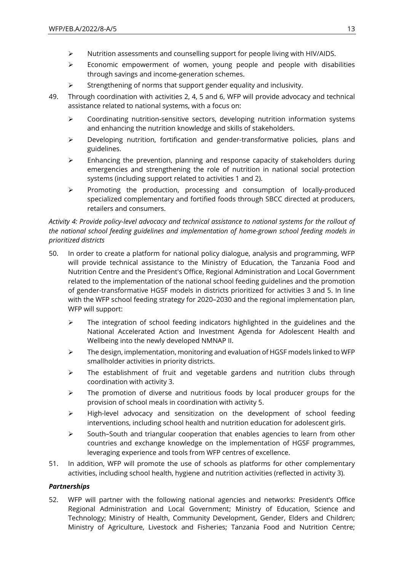- $\triangleright$  Nutrition assessments and counselling support for people living with HIV/AIDS.
- $\triangleright$  Economic empowerment of women, young people and people with disabilities through savings and income-generation schemes.
- ➢ Strengthening of norms that support gender equality and inclusivity.
- 49. Through coordination with activities 2, 4, 5 and 6, WFP will provide advocacy and technical assistance related to national systems, with a focus on:
	- $\triangleright$  Coordinating nutrition-sensitive sectors, developing nutrition information systems and enhancing the nutrition knowledge and skills of stakeholders.
	- ➢ Developing nutrition, fortification and gender-transformative policies, plans and guidelines.
	- $\triangleright$  Enhancing the prevention, planning and response capacity of stakeholders during emergencies and strengthening the role of nutrition in national social protection systems (including support related to activities 1 and 2).
	- ➢ Promoting the production, processing and consumption of locally-produced specialized complementary and fortified foods through SBCC directed at producers, retailers and consumers.

### *Activity 4: Provide policy-level advocacy and technical assistance to national systems for the rollout of the national school feeding guidelines and implementation of home-grown school feeding models in prioritized districts*

- 50. In order to create a platform for national policy dialogue, analysis and programming, WFP will provide technical assistance to the Ministry of Education, the Tanzania Food and Nutrition Centre and the President's Office, Regional Administration and Local Government related to the implementation of the national school feeding guidelines and the promotion of gender-transformative HGSF models in districts prioritized for activities 3 and 5. In line with the WFP school feeding strategy for 2020–2030 and the regional implementation plan, WFP will support:
	- ➢ The integration of school feeding indicators highlighted in the guidelines and the National Accelerated Action and Investment Agenda for Adolescent Health and Wellbeing into the newly developed NMNAP II.
	- ➢ The design, implementation, monitoring and evaluation of HGSF models linked to WFP smallholder activities in priority districts.
	- $\triangleright$  The establishment of fruit and vegetable gardens and nutrition clubs through coordination with activity 3.
	- ➢ The promotion of diverse and nutritious foods by local producer groups for the provision of school meals in coordination with activity 5.
	- ➢ High-level advocacy and sensitization on the development of school feeding interventions, including school health and nutrition education for adolescent girls.
	- $\triangleright$  South–South and triangular cooperation that enables agencies to learn from other countries and exchange knowledge on the implementation of HGSF programmes, leveraging experience and tools from WFP centres of excellence.
- 51. In addition, WFP will promote the use of schools as platforms for other complementary activities, including school health, hygiene and nutrition activities (reflected in activity 3).

### *Partnerships*

52. WFP will partner with the following national agencies and networks: President's Office Regional Administration and Local Government; Ministry of Education, Science and Technology; Ministry of Health, Community Development, Gender, Elders and Children; Ministry of Agriculture, Livestock and Fisheries; Tanzania Food and Nutrition Centre;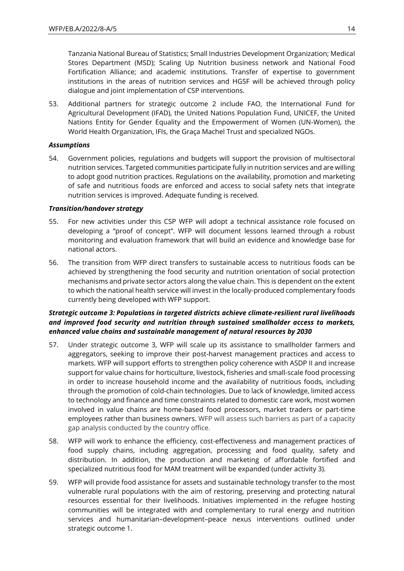Tanzania National Bureau of Statistics; Small Industries Development Organization; Medical Stores Department (MSD); Scaling Up Nutrition business network and National Food Fortification Alliance; and academic institutions. Transfer of expertise to government institutions in the areas of nutrition services and HGSF will be achieved through policy dialogue and joint implementation of CSP interventions.

53. Additional partners for strategic outcome 2 include FAO, the International Fund for Agricultural Development (IFAD), the United Nations Population Fund, UNICEF, the United Nations Entity for Gender Equality and the Empowerment of Women (UN-Women), the World Health Organization, IFIs, the Graça Machel Trust and specialized NGOs.

#### *Assumptions*

54. Government policies, regulations and budgets will support the provision of multisectoral nutrition services. Targeted communities participate fully in nutrition services and are willing to adopt good nutrition practices. Regulations on the availability, promotion and marketing of safe and nutritious foods are enforced and access to social safety nets that integrate nutrition services is improved. Adequate funding is received.

### *Transition/handover strategy*

- 55. For new activities under this CSP WFP will adopt a technical assistance role focused on developing a "proof of concept". WFP will document lessons learned through a robust monitoring and evaluation framework that will build an evidence and knowledge base for national actors.
- 56. The transition from WFP direct transfers to sustainable access to nutritious foods can be achieved by strengthening the food security and nutrition orientation of social protection mechanisms and private sector actors along the value chain. This is dependent on the extent to which the national health service will invest in the locally-produced complementary foods currently being developed with WFP support.

### *Strategic outcome 3: Populations in targeted districts achieve climate-resilient rural livelihoods and improved food security and nutrition through sustained smallholder access to markets, enhanced value chains and sustainable management of natural resources by 2030*

- 57. Under strategic outcome 3, WFP will scale up its assistance to smallholder farmers and aggregators, seeking to improve their post-harvest management practices and access to markets. WFP will support efforts to strengthen policy coherence with ASDP II and increase support for value chains for horticulture, livestock, fisheries and small-scale food processing in order to increase household income and the availability of nutritious foods, including through the promotion of cold-chain technologies. Due to lack of knowledge, limited access to technology and finance and time constraints related to domestic care work, most women involved in value chains are home-based food processors, market traders or part-time employees rather than business owners. WFP will assess such barriers as part of a capacity gap analysis conducted by the country office.
- 58. WFP will work to enhance the efficiency, cost-effectiveness and management practices of food supply chains, including aggregation, processing and food quality, safety and distribution. In addition, the production and marketing of affordable fortified and specialized nutritious food for MAM treatment will be expanded (under activity 3).
- 59. WFP will provide food assistance for assets and sustainable technology transfer to the most vulnerable rural populations with the aim of restoring, preserving and protecting natural resources essential for their livelihoods. Initiatives implemented in the refugee hosting communities will be integrated with and complementary to rural energy and nutrition services and humanitarian–development–peace nexus interventions outlined under strategic outcome 1.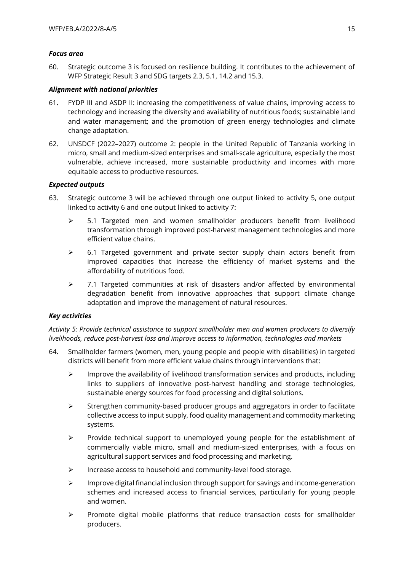### *Focus area*

60. Strategic outcome 3 is focused on resilience building. It contributes to the achievement of WFP Strategic Result 3 and SDG targets 2.3, 5.1, 14.2 and 15.3.

### *Alignment with national priorities*

- 61. FYDP III and ASDP II: increasing the competitiveness of value chains, improving access to technology and increasing the diversity and availability of nutritious foods; sustainable land and water management; and the promotion of green energy technologies and climate change adaptation.
- 62. UNSDCF (2022–2027) outcome 2: people in the United Republic of Tanzania working in micro, small and medium-sized enterprises and small-scale agriculture, especially the most vulnerable, achieve increased, more sustainable productivity and incomes with more equitable access to productive resources.

### *Expected outputs*

- 63. Strategic outcome 3 will be achieved through one output linked to activity 5, one output linked to activity 6 and one output linked to activity 7:
	- $\geq$  5.1 Targeted men and women smallholder producers benefit from livelihood transformation through improved post-harvest management technologies and more efficient value chains.
	- $\geq$  6.1 Targeted government and private sector supply chain actors benefit from improved capacities that increase the efficiency of market systems and the affordability of nutritious food.
	- ➢ 7.1 Targeted communities at risk of disasters and/or affected by environmental degradation benefit from innovative approaches that support climate change adaptation and improve the management of natural resources.

#### *Key activities*

*Activity 5: Provide technical assistance to support smallholder men and women producers to diversify livelihoods, reduce post-harvest loss and improve access to information, technologies and markets*

- 64. Smallholder farmers (women, men, young people and people with disabilities) in targeted districts will benefit from more efficient value chains through interventions that:
	- $\triangleright$  Improve the availability of livelihood transformation services and products, including links to suppliers of innovative post-harvest handling and storage technologies, sustainable energy sources for food processing and digital solutions.
	- $\triangleright$  Strengthen community-based producer groups and aggregators in order to facilitate collective access to input supply, food quality management and commodity marketing systems.
	- ➢ Provide technical support to unemployed young people for the establishment of commercially viable micro, small and medium-sized enterprises, with a focus on agricultural support services and food processing and marketing.
	- ➢ Increase access to household and community-level food storage.
	- $\triangleright$  Improve digital financial inclusion through support for savings and income-generation schemes and increased access to financial services, particularly for young people and women.
	- ➢ Promote digital mobile platforms that reduce transaction costs for smallholder producers.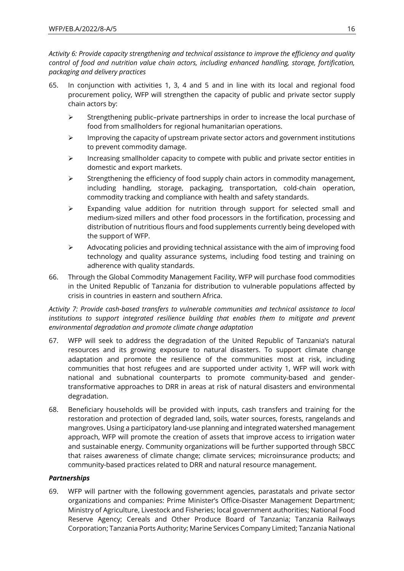*Activity 6: Provide capacity strengthening and technical assistance to improve the efficiency and quality control of food and nutrition value chain actors, including enhanced handling, storage, fortification, packaging and delivery practices*

- 65. In conjunction with activities 1, 3, 4 and 5 and in line with its local and regional food procurement policy, WFP will strengthen the capacity of public and private sector supply chain actors by:
	- ➢ Strengthening public–private partnerships in order to increase the local purchase of food from smallholders for regional humanitarian operations.
	- $\triangleright$  Improving the capacity of upstream private sector actors and government institutions to prevent commodity damage.
	- $\triangleright$  Increasing smallholder capacity to compete with public and private sector entities in domestic and export markets.
	- $\triangleright$  Strengthening the efficiency of food supply chain actors in commodity management, including handling, storage, packaging, transportation, cold-chain operation, commodity tracking and compliance with health and safety standards.
	- ➢ Expanding value addition for nutrition through support for selected small and medium-sized millers and other food processors in the fortification, processing and distribution of nutritious flours and food supplements currently being developed with the support of WFP.
	- $\triangleright$  Advocating policies and providing technical assistance with the aim of improving food technology and quality assurance systems, including food testing and training on adherence with quality standards.
- 66. Through the Global Commodity Management Facility, WFP will purchase food commodities in the United Republic of Tanzania for distribution to vulnerable populations affected by crisis in countries in eastern and southern Africa.

*Activity 7: Provide cash-based transfers to vulnerable communities and technical assistance to local*  institutions to support integrated resilience building that enables them to mitigate and prevent *environmental degradation and promote climate change adaptation*

- 67. WFP will seek to address the degradation of the United Republic of Tanzania's natural resources and its growing exposure to natural disasters. To support climate change adaptation and promote the resilience of the communities most at risk, including communities that host refugees and are supported under activity 1, WFP will work with national and subnational counterparts to promote community-based and gendertransformative approaches to DRR in areas at risk of natural disasters and environmental degradation.
- 68. Beneficiary households will be provided with inputs, cash transfers and training for the restoration and protection of degraded land, soils, water sources, forests, rangelands and mangroves. Using a participatory land-use planning and integrated watershed management approach, WFP will promote the creation of assets that improve access to irrigation water and sustainable energy. Community organizations will be further supported through SBCC that raises awareness of climate change; climate services; microinsurance products; and community-based practices related to DRR and natural resource management.

### *Partnerships*

69. WFP will partner with the following government agencies, parastatals and private sector organizations and companies: Prime Minister's Office-Disaster Management Department; Ministry of Agriculture, Livestock and Fisheries; local government authorities; National Food Reserve Agency; Cereals and Other Produce Board of Tanzania; Tanzania Railways Corporation; Tanzania Ports Authority; Marine Services Company Limited; Tanzania National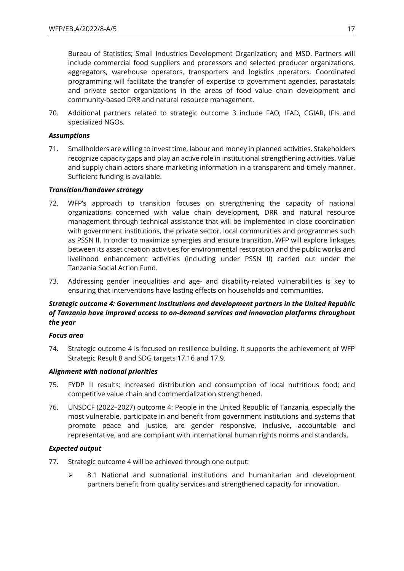Bureau of Statistics; Small Industries Development Organization; and MSD. Partners will include commercial food suppliers and processors and selected producer organizations, aggregators, warehouse operators, transporters and logistics operators. Coordinated programming will facilitate the transfer of expertise to government agencies, parastatals and private sector organizations in the areas of food value chain development and community-based DRR and natural resource management.

70. Additional partners related to strategic outcome 3 include FAO, IFAD, CGIAR, IFIs and specialized NGOs.

### *Assumptions*

71. Smallholders are willing to invest time, labour and money in planned activities. Stakeholders recognize capacity gaps and play an active role in institutional strengthening activities. Value and supply chain actors share marketing information in a transparent and timely manner. Sufficient funding is available.

#### *Transition/handover strategy*

- 72. WFP's approach to transition focuses on strengthening the capacity of national organizations concerned with value chain development, DRR and natural resource management through technical assistance that will be implemented in close coordination with government institutions, the private sector, local communities and programmes such as PSSN II. In order to maximize synergies and ensure transition, WFP will explore linkages between its asset creation activities for environmental restoration and the public works and livelihood enhancement activities (including under PSSN II) carried out under the Tanzania Social Action Fund.
- 73. Addressing gender inequalities and age- and disability-related vulnerabilities is key to ensuring that interventions have lasting effects on households and communities.

### *Strategic outcome 4: Government institutions and development partners in the United Republic of Tanzania have improved access to on-demand services and innovation platforms throughout the year*

#### *Focus area*

74. Strategic outcome 4 is focused on resilience building. It supports the achievement of WFP Strategic Result 8 and SDG targets 17.16 and 17.9.

#### *Alignment with national priorities*

- 75. FYDP III results: increased distribution and consumption of local nutritious food; and competitive value chain and commercialization strengthened.
- 76. UNSDCF (2022–2027) outcome 4: People in the United Republic of Tanzania, especially the most vulnerable, participate in and benefit from government institutions and systems that promote peace and justice, are gender responsive, inclusive, accountable and representative, and are compliant with international human rights norms and standards.

#### *Expected output*

- 77. Strategic outcome 4 will be achieved through one output:
	- ➢ 8.1 National and subnational institutions and humanitarian and development partners benefit from quality services and strengthened capacity for innovation.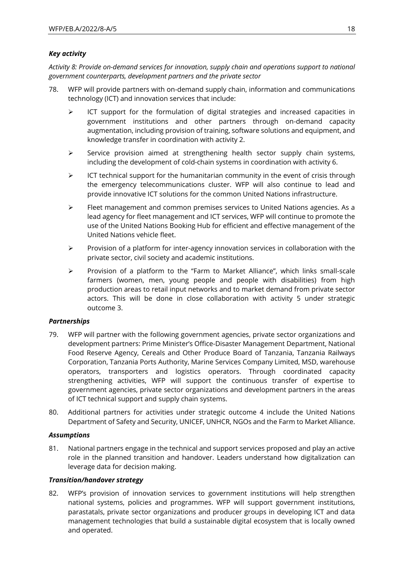### *Key activity*

*Activity 8: Provide on-demand services for innovation, supply chain and operations support to national government counterparts, development partners and the private sector*

- 78. WFP will provide partners with on-demand supply chain, information and communications technology (ICT) and innovation services that include:
	- $\triangleright$  ICT support for the formulation of digital strategies and increased capacities in government institutions and other partners through on-demand capacity augmentation, including provision of training, software solutions and equipment, and knowledge transfer in coordination with activity 2.
	- $\triangleright$  Service provision aimed at strengthening health sector supply chain systems, including the development of cold-chain systems in coordination with activity 6.
	- $\triangleright$  ICT technical support for the humanitarian community in the event of crisis through the emergency telecommunications cluster. WFP will also continue to lead and provide innovative ICT solutions for the common United Nations infrastructure.
	- ➢ Fleet management and common premises services to United Nations agencies. As a lead agency for fleet management and ICT services, WFP will continue to promote the use of the United Nations Booking Hub for efficient and effective management of the United Nations vehicle fleet.
	- ➢ Provision of a platform for inter-agency innovation services in collaboration with the private sector, civil society and academic institutions.
	- ➢ Provision of a platform to the "Farm to Market Alliance", which links small-scale farmers (women, men, young people and people with disabilities) from high production areas to retail input networks and to market demand from private sector actors. This will be done in close collaboration with activity 5 under strategic outcome 3.

#### *Partnerships*

- 79. WFP will partner with the following government agencies, private sector organizations and development partners: Prime Minister's Office-Disaster Management Department, National Food Reserve Agency, Cereals and Other Produce Board of Tanzania, Tanzania Railways Corporation, Tanzania Ports Authority, Marine Services Company Limited, MSD, warehouse operators, transporters and logistics operators. Through coordinated capacity strengthening activities, WFP will support the continuous transfer of expertise to government agencies, private sector organizations and development partners in the areas of ICT technical support and supply chain systems.
- 80. Additional partners for activities under strategic outcome 4 include the United Nations Department of Safety and Security, UNICEF, UNHCR, NGOs and the Farm to Market Alliance.

#### *Assumptions*

81. National partners engage in the technical and support services proposed and play an active role in the planned transition and handover. Leaders understand how digitalization can leverage data for decision making.

#### *Transition/handover strategy*

82. WFP's provision of innovation services to government institutions will help strengthen national systems, policies and programmes. WFP will support government institutions, parastatals, private sector organizations and producer groups in developing ICT and data management technologies that build a sustainable digital ecosystem that is locally owned and operated.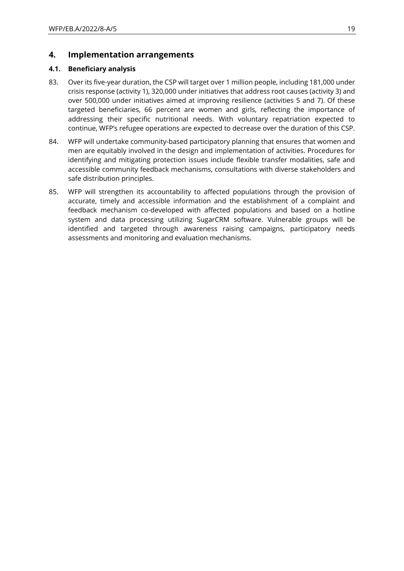### **4. Implementation arrangements**

### **4.1. Beneficiary analysis**

- 83. Over its five-year duration, the CSP will target over 1 million people, including 181,000 under crisis response (activity 1), 320,000 under initiatives that address root causes (activity 3) and over 500,000 under initiatives aimed at improving resilience (activities 5 and 7). Of these targeted beneficiaries, 66 percent are women and girls, reflecting the importance of addressing their specific nutritional needs. With voluntary repatriation expected to continue, WFP's refugee operations are expected to decrease over the duration of this CSP.
- 84. WFP will undertake community-based participatory planning that ensures that women and men are equitably involved in the design and implementation of activities. Procedures for identifying and mitigating protection issues include flexible transfer modalities, safe and accessible community feedback mechanisms, consultations with diverse stakeholders and safe distribution principles.
- 85. WFP will strengthen its accountability to affected populations through the provision of accurate, timely and accessible information and the establishment of a complaint and feedback mechanism co-developed with affected populations and based on a hotline system and data processing utilizing SugarCRM software. Vulnerable groups will be identified and targeted through awareness raising campaigns, participatory needs assessments and monitoring and evaluation mechanisms.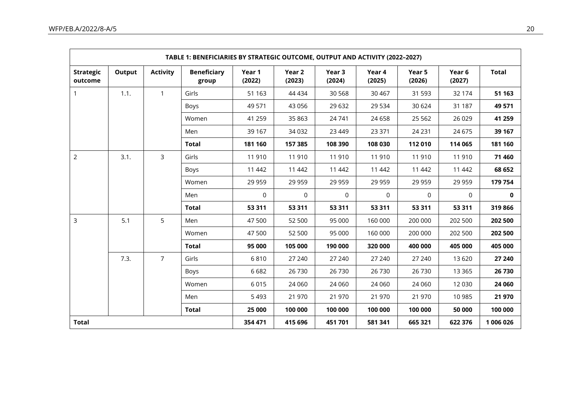|                             |        |                 | TABLE 1: BENEFICIARIES BY STRATEGIC OUTCOME, OUTPUT AND ACTIVITY (2022-2027) |                  |                  |                  |                  |                  |                  |              |
|-----------------------------|--------|-----------------|------------------------------------------------------------------------------|------------------|------------------|------------------|------------------|------------------|------------------|--------------|
| <b>Strategic</b><br>outcome | Output | <b>Activity</b> | <b>Beneficiary</b><br>group                                                  | Year 1<br>(2022) | Year 2<br>(2023) | Year 3<br>(2024) | Year 4<br>(2025) | Year 5<br>(2026) | Year 6<br>(2027) | <b>Total</b> |
| 1                           | 1.1.   | $\mathbf{1}$    | Girls                                                                        | 51 1 63          | 44 4 34          | 30 5 68          | 30 4 67          | 31 593           | 32 174           | 51 163       |
|                             |        |                 | Boys                                                                         | 49 571           | 43 056           | 29 632           | 29 5 34          | 30 624           | 31 187           | 49 571       |
|                             |        |                 | Women                                                                        | 41 259           | 35 863           | 24 741           | 24 6 58          | 25 5 6 2         | 26 0 29          | 41 259       |
|                             |        |                 | Men                                                                          | 39 167           | 34 0 32          | 23 4 49          | 23 371           | 24 2 31          | 24 6 75          | 39 167       |
|                             |        |                 | <b>Total</b>                                                                 | 181 160          | 157 385          | 108 390          | 108 030          | 112 010          | 114 065          | 181 160      |
| $\overline{2}$              | 3.1.   | 3               | Girls                                                                        | 11 910           | 11 910           | 11910            | 11910            | 11 910           | 11910            | 71 460       |
|                             |        |                 | Boys                                                                         | 11 442           | 11 442           | 11 442           | 11 442           | 11 442           | 11 442           | 68 652       |
|                             |        |                 | Women                                                                        | 29 959           | 29 959           | 29 9 59          | 29 9 59          | 29 959           | 29 9 59          | 179 754      |
|                             |        |                 | Men                                                                          | $\mathbf 0$      | $\overline{0}$   | $\mathbf 0$      | $\mathsf{O}$     | $\mathbf 0$      | $\mathbf 0$      | $\mathbf 0$  |
|                             |        |                 | <b>Total</b>                                                                 | 53 311           | 53 311           | 53 311           | 53 311           | 53 311           | 53 311           | 319 866      |
| 3                           | 5.1    | 5               | Men                                                                          | 47 500           | 52 500           | 95 000           | 160 000          | 200 000          | 202 500          | 202 500      |
|                             |        |                 | Women                                                                        | 47 500           | 52 500           | 95 000           | 160 000          | 200 000          | 202 500          | 202 500      |
|                             |        |                 | <b>Total</b>                                                                 | 95 000           | 105 000          | 190 000          | 320 000          | 400 000          | 405 000          | 405 000      |
|                             | 7.3.   | $\overline{7}$  | Girls                                                                        | 6810             | 27 240           | 27 240           | 27 240           | 27 240           | 13 6 20          | 27 240       |
|                             |        |                 | Boys                                                                         | 6682             | 26 730           | 26 730           | 26 730           | 26 730           | 13 3 65          | 26 730       |
|                             |        |                 | Women                                                                        | 6015             | 24 060           | 24 060           | 24 060           | 24 060           | 12 0 30          | 24 060       |
|                             |        |                 | Men                                                                          | 5 4 9 3          | 21 970           | 21 970           | 21 970           | 21 970           | 10 985           | 21 970       |
|                             |        |                 | <b>Total</b>                                                                 | 25 000           | 100 000          | 100 000          | 100 000          | 100 000          | 50 000           | 100 000      |
| <b>Total</b>                |        |                 | 354 471                                                                      | 415 696          | 451701           | 581 341          | 665 321          | 622 376          | 1 006 026        |              |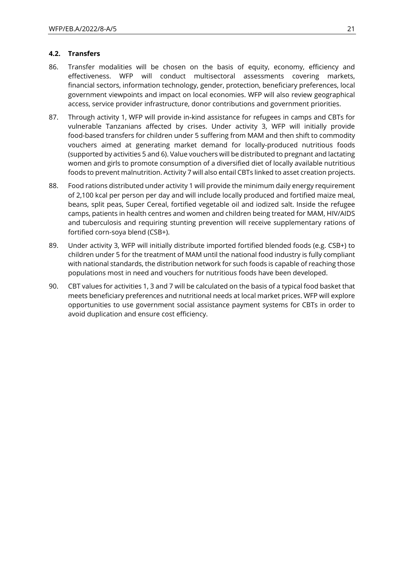### **4.2. Transfers**

- 86. Transfer modalities will be chosen on the basis of equity, economy, efficiency and effectiveness. WFP will conduct multisectoral assessments covering markets, financial sectors, information technology, gender, protection, beneficiary preferences, local government viewpoints and impact on local economies. WFP will also review geographical access, service provider infrastructure, donor contributions and government priorities.
- 87. Through activity 1, WFP will provide in-kind assistance for refugees in camps and CBTs for vulnerable Tanzanians affected by crises. Under activity 3, WFP will initially provide food-based transfers for children under 5 suffering from MAM and then shift to commodity vouchers aimed at generating market demand for locally-produced nutritious foods (supported by activities 5 and 6). Value vouchers will be distributed to pregnant and lactating women and girls to promote consumption of a diversified diet of locally available nutritious foods to prevent malnutrition. Activity 7 will also entail CBTs linked to asset creation projects.
- 88. Food rations distributed under activity 1 will provide the minimum daily energy requirement of 2,100 kcal per person per day and will include locally produced and fortified maize meal, beans, split peas, Super Cereal, fortified vegetable oil and iodized salt. Inside the refugee camps, patients in health centres and women and children being treated for MAM, HIV/AIDS and tuberculosis and requiring stunting prevention will receive supplementary rations of fortified corn-soya blend (CSB+).
- 89. Under activity 3, WFP will initially distribute imported fortified blended foods (e.g. CSB+) to children under 5 for the treatment of MAM until the national food industry is fully compliant with national standards, the distribution network for such foods is capable of reaching those populations most in need and vouchers for nutritious foods have been developed.
- 90. CBT values for activities 1, 3 and 7 will be calculated on the basis of a typical food basket that meets beneficiary preferences and nutritional needs at local market prices. WFP will explore opportunities to use government social assistance payment systems for CBTs in order to avoid duplication and ensure cost efficiency.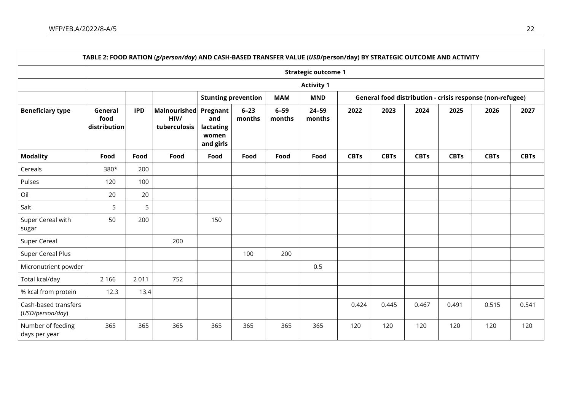- r

|                                          |                                 |            | TABLE 2: FOOD RATION (g/person/day) AND CASH-BASED TRANSFER VALUE (USD/person/day) BY STRATEGIC OUTCOME AND ACTIVITY |                                                    |                    |                    |                            |             |             |             |             |                                                           |             |
|------------------------------------------|---------------------------------|------------|----------------------------------------------------------------------------------------------------------------------|----------------------------------------------------|--------------------|--------------------|----------------------------|-------------|-------------|-------------|-------------|-----------------------------------------------------------|-------------|
|                                          |                                 |            |                                                                                                                      |                                                    |                    |                    | <b>Strategic outcome 1</b> |             |             |             |             |                                                           |             |
|                                          |                                 |            |                                                                                                                      |                                                    |                    |                    | <b>Activity 1</b>          |             |             |             |             |                                                           |             |
|                                          |                                 |            |                                                                                                                      | <b>Stunting prevention</b>                         |                    | <b>MAM</b>         | <b>MND</b>                 |             |             |             |             | General food distribution - crisis response (non-refugee) |             |
| <b>Beneficiary type</b>                  | General<br>food<br>distribution | <b>IPD</b> | <b>Malnourished</b><br>HIV/<br>tuberculosis                                                                          | Pregnant<br>and<br>lactating<br>women<br>and girls | $6 - 23$<br>months | $6 - 59$<br>months | $24 - 59$<br>months        | 2022        | 2023        | 2024        | 2025        | 2026                                                      | 2027        |
| <b>Modality</b>                          | Food                            | Food       | Food                                                                                                                 | Food                                               | Food               | Food               | Food                       | <b>CBTs</b> | <b>CBTs</b> | <b>CBTs</b> | <b>CBTs</b> | <b>CBTs</b>                                               | <b>CBTs</b> |
| Cereals                                  | 380*                            | 200        |                                                                                                                      |                                                    |                    |                    |                            |             |             |             |             |                                                           |             |
| Pulses                                   | 120                             | 100        |                                                                                                                      |                                                    |                    |                    |                            |             |             |             |             |                                                           |             |
| Oil                                      | 20                              | 20         |                                                                                                                      |                                                    |                    |                    |                            |             |             |             |             |                                                           |             |
| Salt                                     | 5                               | 5          |                                                                                                                      |                                                    |                    |                    |                            |             |             |             |             |                                                           |             |
| Super Cereal with<br>sugar               | 50                              | 200        |                                                                                                                      | 150                                                |                    |                    |                            |             |             |             |             |                                                           |             |
| Super Cereal                             |                                 |            | 200                                                                                                                  |                                                    |                    |                    |                            |             |             |             |             |                                                           |             |
| <b>Super Cereal Plus</b>                 |                                 |            |                                                                                                                      |                                                    | 100                | 200                |                            |             |             |             |             |                                                           |             |
| Micronutrient powder                     |                                 |            |                                                                                                                      |                                                    |                    |                    | 0.5                        |             |             |             |             |                                                           |             |
| Total kcal/day                           | 2 1 6 6                         | 2011       | 752                                                                                                                  |                                                    |                    |                    |                            |             |             |             |             |                                                           |             |
| % kcal from protein                      | 12.3                            | 13.4       |                                                                                                                      |                                                    |                    |                    |                            |             |             |             |             |                                                           |             |
| Cash-based transfers<br>(USD/person/day) |                                 |            |                                                                                                                      |                                                    |                    |                    |                            | 0.424       | 0.445       | 0.467       | 0.491       | 0.515                                                     | 0.541       |
| Number of feeding<br>days per year       | 365                             | 365        | 365                                                                                                                  | 365                                                | 365                | 365                | 365                        | 120         | 120         | 120         | 120         | 120                                                       | 120         |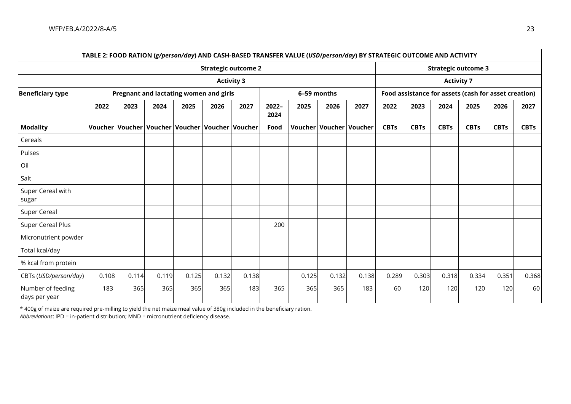|                                    |                                        |       |       |                                                           |       |                            |               |             |       | TABLE 2: FOOD RATION (g/person/day) AND CASH-BASED TRANSFER VALUE (USD/person/day) BY STRATEGIC OUTCOME AND ACTIVITY |             |                                                      |             |                            |             |             |
|------------------------------------|----------------------------------------|-------|-------|-----------------------------------------------------------|-------|----------------------------|---------------|-------------|-------|----------------------------------------------------------------------------------------------------------------------|-------------|------------------------------------------------------|-------------|----------------------------|-------------|-------------|
|                                    |                                        |       |       |                                                           |       | <b>Strategic outcome 2</b> |               |             |       |                                                                                                                      |             |                                                      |             | <b>Strategic outcome 3</b> |             |             |
|                                    | <b>Activity 3</b><br><b>Activity 7</b> |       |       |                                                           |       |                            |               |             |       |                                                                                                                      |             |                                                      |             |                            |             |             |
| <b>Beneficiary type</b>            |                                        |       |       | Pregnant and lactating women and girls                    |       |                            |               | 6-59 months |       |                                                                                                                      |             | Food assistance for assets (cash for asset creation) |             |                            |             |             |
|                                    | 2022                                   | 2023  | 2024  | 2025                                                      | 2026  | 2027                       | 2022-<br>2024 | 2025        | 2026  | 2027                                                                                                                 | 2022        | 2023                                                 | 2024        | 2025                       | 2026        | 2027        |
| <b>Modality</b>                    |                                        |       |       | Voucher   Voucher   Voucher   Voucher   Voucher   Voucher |       |                            | Food          |             |       | Voucher Voucher Voucher                                                                                              | <b>CBTs</b> | <b>CBTs</b>                                          | <b>CBTs</b> | <b>CBTs</b>                | <b>CBTs</b> | <b>CBTs</b> |
| Cereals                            |                                        |       |       |                                                           |       |                            |               |             |       |                                                                                                                      |             |                                                      |             |                            |             |             |
| Pulses                             |                                        |       |       |                                                           |       |                            |               |             |       |                                                                                                                      |             |                                                      |             |                            |             |             |
| Oil                                |                                        |       |       |                                                           |       |                            |               |             |       |                                                                                                                      |             |                                                      |             |                            |             |             |
| Salt                               |                                        |       |       |                                                           |       |                            |               |             |       |                                                                                                                      |             |                                                      |             |                            |             |             |
| Super Cereal with<br>sugar         |                                        |       |       |                                                           |       |                            |               |             |       |                                                                                                                      |             |                                                      |             |                            |             |             |
| Super Cereal                       |                                        |       |       |                                                           |       |                            |               |             |       |                                                                                                                      |             |                                                      |             |                            |             |             |
| Super Cereal Plus                  |                                        |       |       |                                                           |       |                            | 200           |             |       |                                                                                                                      |             |                                                      |             |                            |             |             |
| Micronutrient powder               |                                        |       |       |                                                           |       |                            |               |             |       |                                                                                                                      |             |                                                      |             |                            |             |             |
| Total kcal/day                     |                                        |       |       |                                                           |       |                            |               |             |       |                                                                                                                      |             |                                                      |             |                            |             |             |
| % kcal from protein                |                                        |       |       |                                                           |       |                            |               |             |       |                                                                                                                      |             |                                                      |             |                            |             |             |
| CBTs (USD/person/day)              | 0.108                                  | 0.114 | 0.119 | 0.125                                                     | 0.132 | 0.138                      |               | 0.125       | 0.132 | 0.138                                                                                                                | 0.289       | 0.303                                                | 0.318       | 0.334                      | 0.351       | 0.368       |
| Number of feeding<br>days per year | 183                                    | 365   | 365   | 365                                                       | 365   | 183                        | 365           | 365         | 365   | 183                                                                                                                  | 60          | 120                                                  | 120         | 120                        | 120         | 60          |

\* 400g of maize are required pre-milling to yield the net maize meal value of 380g included in the beneficiary ration. *Abbreviations*: IPD = in-patient distribution; MND = micronutrient deficiency disease.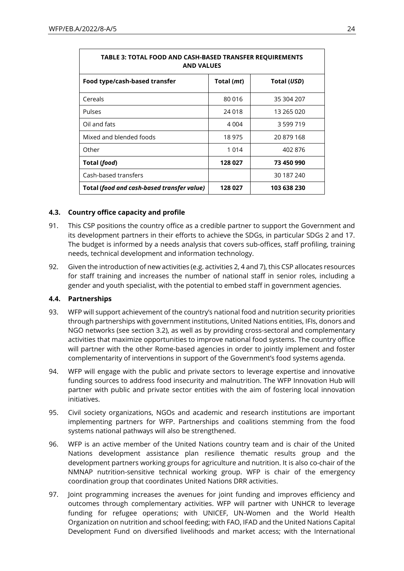| <b>TABLE 3: TOTAL FOOD AND CASH-BASED TRANSFER REQUIREMENTS</b><br><b>AND VALUES</b> |            |             |  |  |  |
|--------------------------------------------------------------------------------------|------------|-------------|--|--|--|
| Food type/cash-based transfer                                                        | Total (mt) | Total (USD) |  |  |  |
| Cereals                                                                              | 80 016     | 35 304 207  |  |  |  |
| <b>Pulses</b>                                                                        | 24 018     | 13 265 020  |  |  |  |
| Oil and fats                                                                         | 4 0 0 4    | 3 599 719   |  |  |  |
| Mixed and blended foods                                                              | 18 975     | 20 879 168  |  |  |  |
| Other                                                                                | 1 0 1 4    | 402 876     |  |  |  |
| Total (food)                                                                         | 128 027    | 73 450 990  |  |  |  |
| Cash-based transfers                                                                 |            | 30 187 240  |  |  |  |
| Total (food and cash-based transfer value)                                           | 128 027    | 103 638 230 |  |  |  |

### **4.3. Country office capacity and profile**

- 91. This CSP positions the country office as a credible partner to support the Government and its development partners in their efforts to achieve the SDGs, in particular SDGs 2 and 17. The budget is informed by a needs analysis that covers sub-offices, staff profiling, training needs, technical development and information technology.
- 92. Given the introduction of new activities (e.g. activities 2, 4 and 7), this CSP allocates resources for staff training and increases the number of national staff in senior roles, including a gender and youth specialist, with the potential to embed staff in government agencies.

#### **4.4. Partnerships**

- 93. WFP will support achievement of the country's national food and nutrition security priorities through partnerships with government institutions, United Nations entities, IFIs, donors and NGO networks (see section 3.2), as well as by providing cross-sectoral and complementary activities that maximize opportunities to improve national food systems. The country office will partner with the other Rome-based agencies in order to jointly implement and foster complementarity of interventions in support of the Government's food systems agenda.
- 94. WFP will engage with the public and private sectors to leverage expertise and innovative funding sources to address food insecurity and malnutrition. The WFP Innovation Hub will partner with public and private sector entities with the aim of fostering local innovation initiatives.
- 95. Civil society organizations, NGOs and academic and research institutions are important implementing partners for WFP. Partnerships and coalitions stemming from the food systems national pathways will also be strengthened.
- 96. WFP is an active member of the United Nations country team and is chair of the United Nations development assistance plan resilience thematic results group and the development partners working groups for agriculture and nutrition. It is also co-chair of the NMNAP nutrition-sensitive technical working group. WFP is chair of the emergency coordination group that coordinates United Nations DRR activities.
- 97. Joint programming increases the avenues for joint funding and improves efficiency and outcomes through complementary activities. WFP will partner with UNHCR to leverage funding for refugee operations; with UNICEF, UN-Women and the World Health Organization on nutrition and school feeding; with FAO, IFAD and the United Nations Capital Development Fund on diversified livelihoods and market access; with the International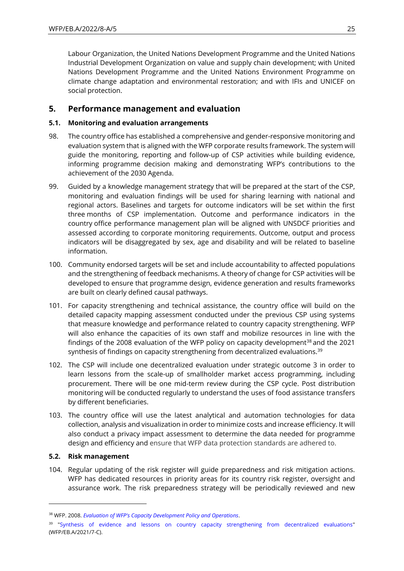Labour Organization, the United Nations Development Programme and the United Nations Industrial Development Organization on value and supply chain development; with United Nations Development Programme and the United Nations Environment Programme on climate change adaptation and environmental restoration; and with IFIs and UNICEF on social protection.

### **5. Performance management and evaluation**

### **5.1. Monitoring and evaluation arrangements**

- 98. The country office has established a comprehensive and gender-responsive monitoring and evaluation system that is aligned with the WFP corporate results framework. The system will guide the monitoring, reporting and follow-up of CSP activities while building evidence, informing programme decision making and demonstrating WFP's contributions to the achievement of the 2030 Agenda.
- 99. Guided by a knowledge management strategy that will be prepared at the start of the CSP, monitoring and evaluation findings will be used for sharing learning with national and regional actors. Baselines and targets for outcome indicators will be set within the first three months of CSP implementation. Outcome and performance indicators in the country office performance management plan will be aligned with UNSDCF priorities and assessed according to corporate monitoring requirements. Outcome, output and process indicators will be disaggregated by sex, age and disability and will be related to baseline information.
- 100. Community endorsed targets will be set and include accountability to affected populations and the strengthening of feedback mechanisms. A theory of change for CSP activities will be developed to ensure that programme design, evidence generation and results frameworks are built on clearly defined causal pathways.
- 101. For capacity strengthening and technical assistance, the country office will build on the detailed capacity mapping assessment conducted under the previous CSP using systems that measure knowledge and performance related to country capacity strengthening. WFP will also enhance the capacities of its own staff and mobilize resources in line with the findings of the 2008 evaluation of the WFP policy on capacity development<sup>38</sup> and the 2021 synthesis of findings on capacity strengthening from decentralized evaluations.<sup>39</sup>
- 102. The CSP will include one decentralized evaluation under strategic outcome 3 in order to learn lessons from the scale-up of smallholder market access programming, including procurement. There will be one mid-term review during the CSP cycle. Post distribution monitoring will be conducted regularly to understand the uses of food assistance transfers by different beneficiaries.
- 103. The country office will use the latest analytical and automation technologies for data collection, analysis and visualization in order to minimize costs and increase efficiency. It will also conduct a privacy impact assessment to determine the data needed for programme design and efficiency and ensure that WFP data protection standards are adhered to.

#### **5.2. Risk management**

104. Regular updating of the risk register will guide preparedness and risk mitigation actions. WFP has dedicated resources in priority areas for its country risk register, oversight and assurance work. The risk preparedness strategy will be periodically reviewed and new

<sup>38</sup> WFP. 2008. *[Evaluation of WFP's Capacity Development Policy and Operations](https://executiveboard.wfp.org/document_download/WFP-0000003994)*.

<sup>&</sup>lt;sup>39</sup> ["Synthesis of evidence and lessons on country capacity strengthening from decentralized evaluations"](https://executiveboard.wfp.org/document_download/WFP-0000127565) (WFP/EB.A/2021/7-C).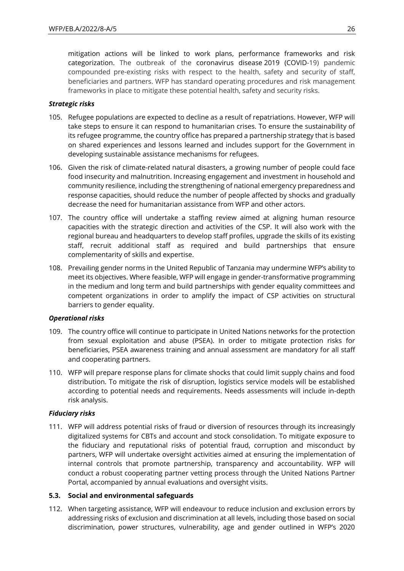mitigation actions will be linked to work plans, performance frameworks and risk categorization. The outbreak of the coronavirus disease 2019 (COVID-19) pandemic compounded pre-existing risks with respect to the health, safety and security of staff, beneficiaries and partners. WFP has standard operating procedures and risk management frameworks in place to mitigate these potential health, safety and security risks.

### *Strategic risks*

- 105. Refugee populations are expected to decline as a result of repatriations. However, WFP will take steps to ensure it can respond to humanitarian crises. To ensure the sustainability of its refugee programme, the country office has prepared a partnership strategy that is based on shared experiences and lessons learned and includes support for the Government in developing sustainable assistance mechanisms for refugees.
- 106. Given the risk of climate-related natural disasters, a growing number of people could face food insecurity and malnutrition. Increasing engagement and investment in household and community resilience, including the strengthening of national emergency preparedness and response capacities, should reduce the number of people affected by shocks and gradually decrease the need for humanitarian assistance from WFP and other actors.
- 107. The country office will undertake a staffing review aimed at aligning human resource capacities with the strategic direction and activities of the CSP. It will also work with the regional bureau and headquarters to develop staff profiles, upgrade the skills of its existing staff, recruit additional staff as required and build partnerships that ensure complementarity of skills and expertise.
- 108. Prevailing gender norms in the United Republic of Tanzania may undermine WFP's ability to meet its objectives. Where feasible, WFP will engage in gender-transformative programming in the medium and long term and build partnerships with gender equality committees and competent organizations in order to amplify the impact of CSP activities on structural barriers to gender equality.

#### *Operational risks*

- 109. The country office will continue to participate in United Nations networks for the protection from sexual exploitation and abuse (PSEA). In order to mitigate protection risks for beneficiaries, PSEA awareness training and annual assessment are mandatory for all staff and cooperating partners.
- 110. WFP will prepare response plans for climate shocks that could limit supply chains and food distribution. To mitigate the risk of disruption, logistics service models will be established according to potential needs and requirements. Needs assessments will include in-depth risk analysis.

#### *Fiduciary risks*

111. WFP will address potential risks of fraud or diversion of resources through its increasingly digitalized systems for CBTs and account and stock consolidation. To mitigate exposure to the fiduciary and reputational risks of potential fraud, corruption and misconduct by partners, WFP will undertake oversight activities aimed at ensuring the implementation of internal controls that promote partnership, transparency and accountability. WFP will conduct a robust cooperating partner vetting process through the United Nations Partner Portal, accompanied by annual evaluations and oversight visits.

#### **5.3. Social and environmental safeguards**

112. When targeting assistance, WFP will endeavour to reduce inclusion and exclusion errors by addressing risks of exclusion and discrimination at all levels, including those based on social discrimination, power structures, vulnerability, age and gender outlined in WFP's 2020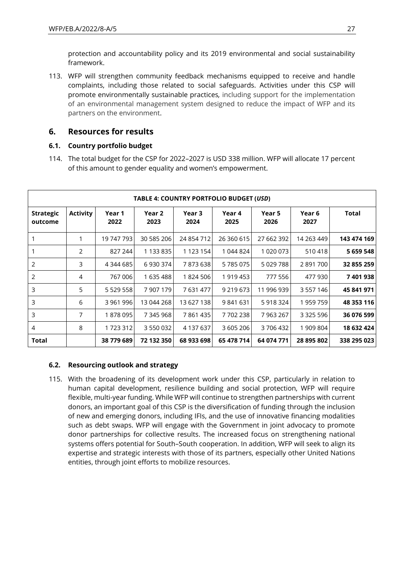protection and accountability policy and its 2019 environmental and social sustainability framework.

113. WFP will strengthen community feedback mechanisms equipped to receive and handle complaints, including those related to social safeguards. Activities under this CSP will promote environmentally sustainable practices*,* including support for the implementation of an environmental management system designed to reduce the impact of WFP and its partners on the environment.

## **6. Resources for results**

### **6.1. Country portfolio budget**

114. The total budget for the CSP for 2022–2027 is USD 338 million. WFP will allocate 17 percent of this amount to gender equality and women's empowerment.

|                             | TABLE 4: COUNTRY PORTFOLIO BUDGET (USD) |                |                |                |                |                |                |             |
|-----------------------------|-----------------------------------------|----------------|----------------|----------------|----------------|----------------|----------------|-------------|
| <b>Strategic</b><br>outcome | <b>Activity</b>                         | Year 1<br>2022 | Year 2<br>2023 | Year 3<br>2024 | Year 4<br>2025 | Year 5<br>2026 | Year 6<br>2027 | Total       |
|                             | 1                                       | 19 747 793     | 30 585 206     | 24 854 712     | 26 360 615     | 27 662 392     | 14 263 449     | 143 474 169 |
|                             | 2                                       | 827 244        | 1 133 835      | 1 1 2 3 1 5 4  | 1 044 824      | 1 020 073      | 510418         | 5 659 548   |
| 2                           | 3                                       | 4 344 685      | 6930374        | 7873638        | 5785075        | 5 029 788      | 2891700        | 32 855 259  |
| 2                           | 4                                       | 767 006        | 1 635 488      | 1824 506       | 1919453        | 777 556        | 477 930        | 7401938     |
| 3                           | 5                                       | 5 5 29 5 5 8   | 7 907 179      | 7631477        | 9 219 673      | 11 996 939     | 3 557 146      | 45 841 971  |
| 3                           | 6                                       | 3961996        | 13 044 268     | 13 627 138     | 9 841 631      | 5918324        | 1959759        | 48 353 116  |
| 3                           | 7                                       | 1878095        | 7 345 968      | 7861435        | 7702238        | 7 963 267      | 3 3 2 5 5 9 6  | 36 076 599  |
| 4                           | 8                                       | 1723312        | 3 550 032      | 4 137 637      | 3 605 206      | 3706432        | 1909804        | 18 632 424  |
| <b>Total</b>                |                                         | 38 779 689     | 72 132 350     | 68 933 698     | 65 478 714     | 64 074 771     | 28 895 802     | 338 295 023 |

### **6.2. Resourcing outlook and strategy**

115. With the broadening of its development work under this CSP, particularly in relation to human capital development, resilience building and social protection, WFP will require flexible, multi-year funding. While WFP will continue to strengthen partnerships with current donors, an important goal of this CSP is the diversification of funding through the inclusion of new and emerging donors, including IFIs, and the use of innovative financing modalities such as debt swaps. WFP will engage with the Government in joint advocacy to promote donor partnerships for collective results. The increased focus on strengthening national systems offers potential for South–South cooperation. In addition, WFP will seek to align its expertise and strategic interests with those of its partners, especially other United Nations entities, through joint efforts to mobilize resources.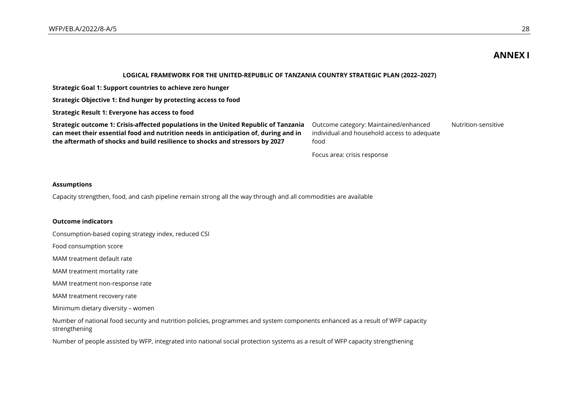## **ANNEX I**

#### **LOGICAL FRAMEWORK FOR THE UNITED-REPUBLIC OF TANZANIA COUNTRY STRATEGIC PLAN (2022–2027)**

**Strategic Goal 1: Support countries to achieve zero hunger**

**Strategic Objective 1: End hunger by protecting access to food**

**Strategic Result 1: Everyone has access to food**

**Strategic outcome 1: Crisis-affected populations in the United Republic of Tanzania can meet their essential food and nutrition needs in anticipation of, during and in the aftermath of shocks and build resilience to shocks and stressors by 2027**

Outcome category: Maintained/enhanced individual and household access to adequate food Nutrition-sensitive

Focus area: crisis response

#### **Assumptions**

Capacity strengthen, food, and cash pipeline remain strong all the way through and all commodities are available

#### **Outcome indicators**

Consumption-based coping strategy index, reduced CSI

Food consumption score

MAM treatment default rate

MAM treatment mortality rate

MAM treatment non-response rate

MAM treatment recovery rate

Minimum dietary diversity – women

Number of national food security and nutrition policies, programmes and system components enhanced as a result of WFP capacity strengthening

Number of people assisted by WFP, integrated into national social protection systems as a result of WFP capacity strengthening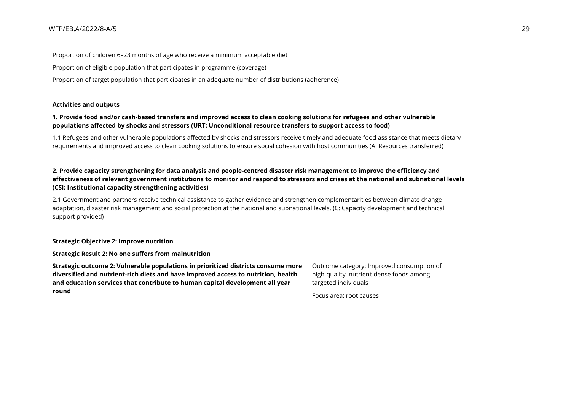Proportion of children 6–23 months of age who receive a minimum acceptable diet Proportion of eligible population that participates in programme (coverage) Proportion of target population that participates in an adequate number of distributions (adherence)

**Activities and outputs**

#### **1. Provide food and/or cash-based transfers and improved access to clean cooking solutions for refugees and other vulnerable populations affected by shocks and stressors (URT: Unconditional resource transfers to support access to food)**

1.1 Refugees and other vulnerable populations affected by shocks and stressors receive timely and adequate food assistance that meets dietary requirements and improved access to clean cooking solutions to ensure social cohesion with host communities (A: Resources transferred)

#### **2. Provide capacity strengthening for data analysis and people-centred disaster risk management to improve the efficiency and effectiveness of relevant government institutions to monitor and respond to stressors and crises at the national and subnational levels (CSI: Institutional capacity strengthening activities)**

2.1 Government and partners receive technical assistance to gather evidence and strengthen complementarities between climate change adaptation, disaster risk management and social protection at the national and subnational levels. (C: Capacity development and technical support provided)

#### **Strategic Objective 2: Improve nutrition**

**Strategic Result 2: No one suffers from malnutrition**

**Strategic outcome 2: Vulnerable populations in prioritized districts consume more diversified and nutrient-rich diets and have improved access to nutrition, health and education services that contribute to human capital development all year round**

Outcome category: Improved consumption of high-quality, nutrient-dense foods among targeted individuals

Focus area: root causes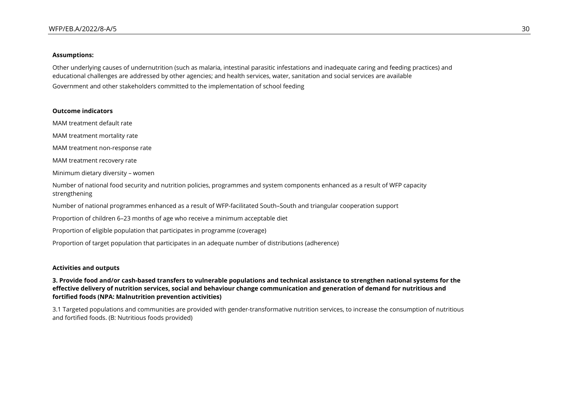#### **Assumptions:**

Other underlying causes of undernutrition (such as malaria, intestinal parasitic infestations and inadequate caring and feeding practices) and educational challenges are addressed by other agencies; and health services, water, sanitation and social services are available Government and other stakeholders committed to the implementation of school feeding

#### **Outcome indicators**

MAM treatment default rate

MAM treatment mortality rate

MAM treatment non-response rate

MAM treatment recovery rate

Minimum dietary diversity – women

Number of national food security and nutrition policies, programmes and system components enhanced as a result of WFP capacity strengthening

Number of national programmes enhanced as a result of WFP-facilitated South–South and triangular cooperation support

Proportion of children 6–23 months of age who receive a minimum acceptable diet

Proportion of eligible population that participates in programme (coverage)

Proportion of target population that participates in an adequate number of distributions (adherence)

#### **Activities and outputs**

**3. Provide food and/or cash-based transfers to vulnerable populations and technical assistance to strengthen national systems for the effective delivery of nutrition services, social and behaviour change communication and generation of demand for nutritious and fortified foods (NPA: Malnutrition prevention activities)**

3.1 Targeted populations and communities are provided with gender-transformative nutrition services, to increase the consumption of nutritious and fortified foods. (B: Nutritious foods provided)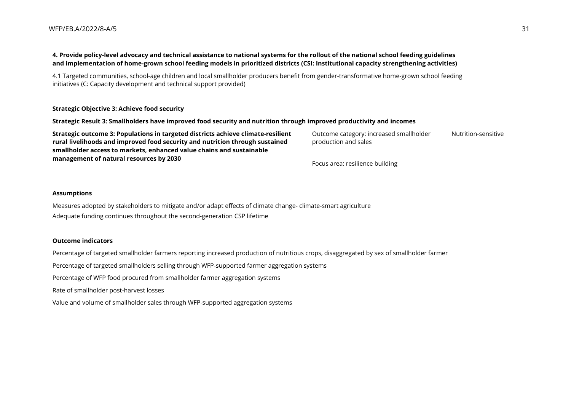#### **4. Provide policy-level advocacy and technical assistance to national systems for the rollout of the national school feeding guidelines and implementation of home-grown school feeding models in prioritized districts (CSI: Institutional capacity strengthening activities)**

4.1 Targeted communities, school-age children and local smallholder producers benefit from gender-transformative home-grown school feeding initiatives (C: Capacity development and technical support provided)

#### **Strategic Objective 3: Achieve food security**

#### **Strategic Result 3: Smallholders have improved food security and nutrition through improved productivity and incomes**

| Strategic outcome 3: Populations in targeted districts achieve climate-resilient | Outcome category: increased smallholder | Nutrition-sensitive |
|----------------------------------------------------------------------------------|-----------------------------------------|---------------------|
| rural livelihoods and improved food security and nutrition through sustained     | production and sales                    |                     |
| smallholder access to markets, enhanced value chains and sustainable             |                                         |                     |
| management of natural resources by 2030                                          | Focus area: resilience building         |                     |

#### **Assumptions**

Measures adopted by stakeholders to mitigate and/or adapt effects of climate change- climate-smart agriculture Adequate funding continues throughout the second-generation CSP lifetime

#### **Outcome indicators**

Percentage of targeted smallholder farmers reporting increased production of nutritious crops, disaggregated by sex of smallholder farmer

Percentage of targeted smallholders selling through WFP-supported farmer aggregation systems

Percentage of WFP food procured from smallholder farmer aggregation systems

Rate of smallholder post-harvest losses

Value and volume of smallholder sales through WFP-supported aggregation systems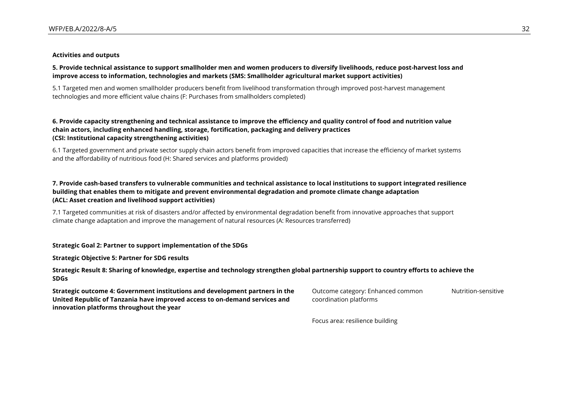#### **Activities and outputs**

#### **5. Provide technical assistance to support smallholder men and women producers to diversify livelihoods, reduce post-harvest loss and improve access to information, technologies and markets (SMS: Smallholder agricultural market support activities)**

5.1 Targeted men and women smallholder producers benefit from livelihood transformation through improved post-harvest management technologies and more efficient value chains (F: Purchases from smallholders completed)

#### **6. Provide capacity strengthening and technical assistance to improve the efficiency and quality control of food and nutrition value chain actors, including enhanced handling, storage, fortification, packaging and delivery practices (CSI: Institutional capacity strengthening activities)**

6.1 Targeted government and private sector supply chain actors benefit from improved capacities that increase the efficiency of market systems and the affordability of nutritious food (H: Shared services and platforms provided)

#### **7. Provide cash-based transfers to vulnerable communities and technical assistance to local institutions to support integrated resilience building that enables them to mitigate and prevent environmental degradation and promote climate change adaptation (ACL: Asset creation and livelihood support activities)**

7.1 Targeted communities at risk of disasters and/or affected by environmental degradation benefit from innovative approaches that support climate change adaptation and improve the management of natural resources (A: Resources transferred)

#### **Strategic Goal 2: Partner to support implementation of the SDGs**

**Strategic Objective 5: Partner for SDG results**

#### **Strategic Result 8: Sharing of knowledge, expertise and technology strengthen global partnership support to country efforts to achieve the SDGs**

**Strategic outcome 4: Government institutions and development partners in the United Republic of Tanzania have improved access to on-demand services and innovation platforms throughout the year**

Outcome category: Enhanced common coordination platforms Nutrition-sensitive

Focus area: resilience building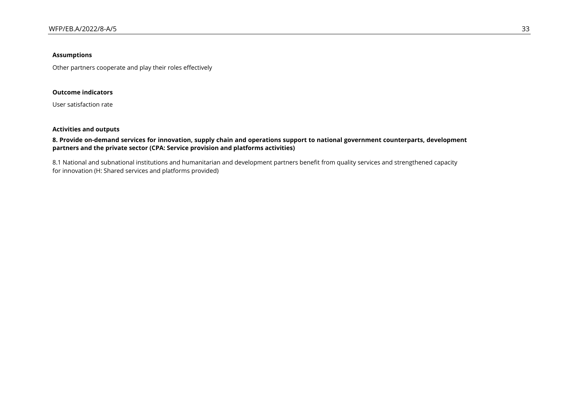#### **Assumptions**

Other partners cooperate and play their roles effectively

#### **Outcome indicators**

User satisfaction rate

#### **Activities and outputs**

#### **8. Provide on-demand services for innovation, supply chain and operations support to national government counterparts, development partners and the private sector (CPA: Service provision and platforms activities)**

8.1 National and subnational institutions and humanitarian and development partners benefit from quality services and strengthened capacity for innovation (H: Shared services and platforms provided)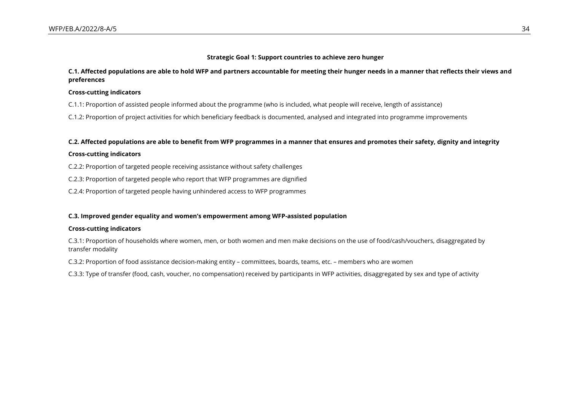#### **Strategic Goal 1: Support countries to achieve zero hunger**

#### **C.1. Affected populations are able to hold WFP and partners accountable for meeting their hunger needs in a manner that reflects their views and preferences**

#### **Cross-cutting indicators**

C.1.1: Proportion of assisted people informed about the programme (who is included, what people will receive, length of assistance)

C.1.2: Proportion of project activities for which beneficiary feedback is documented, analysed and integrated into programme improvements

#### **C.2. Affected populations are able to benefit from WFP programmes in a manner that ensures and promotes their safety, dignity and integrity**

#### **Cross-cutting indicators**

C.2.2: Proportion of targeted people receiving assistance without safety challenges

C.2.3: Proportion of targeted people who report that WFP programmes are dignified

C.2.4: Proportion of targeted people having unhindered access to WFP programmes

#### **C.3. Improved gender equality and women's empowerment among WFP-assisted population**

#### **Cross-cutting indicators**

C.3.1: Proportion of households where women, men, or both women and men make decisions on the use of food/cash/vouchers, disaggregated by transfer modality

C.3.2: Proportion of food assistance decision-making entity – committees, boards, teams, etc. – members who are women

C.3.3: Type of transfer (food, cash, voucher, no compensation) received by participants in WFP activities, disaggregated by sex and type of activity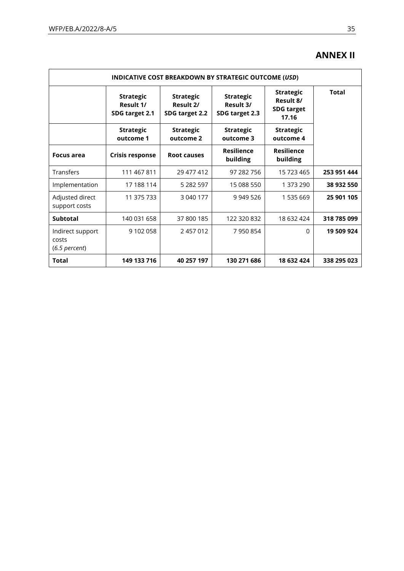## **ANNEX II**

| INDICATIVE COST BREAKDOWN BY STRATEGIC OUTCOME (USD) |                                                                                                    |                               |                                                 |                                                             |              |  |  |
|------------------------------------------------------|----------------------------------------------------------------------------------------------------|-------------------------------|-------------------------------------------------|-------------------------------------------------------------|--------------|--|--|
|                                                      | <b>Strategic</b><br><b>Strategic</b><br>Result 1/<br>Result 2/<br>SDG target 2.1<br>SDG target 2.2 |                               | <b>Strategic</b><br>Result 3/<br>SDG target 2.3 | <b>Strategic</b><br>Result 8/<br><b>SDG target</b><br>17.16 | <b>Total</b> |  |  |
|                                                      | <b>Strategic</b><br>outcome 1                                                                      | <b>Strategic</b><br>outcome 2 | <b>Strategic</b><br>outcome 3                   | <b>Strategic</b><br>outcome 4                               |              |  |  |
| <b>Focus area</b>                                    | <b>Crisis response</b>                                                                             | <b>Root causes</b>            | <b>Resilience</b><br>building                   | <b>Resilience</b><br>building                               |              |  |  |
| Transfers                                            | 111 467 811                                                                                        | 29 477 412                    | 97 282 756                                      | 15 723 465                                                  | 253 951 444  |  |  |
| Implementation                                       | 17 188 114                                                                                         | 5 282 597                     | 15 088 550                                      | 1 373 290                                                   | 38 932 550   |  |  |
| Adjusted direct<br>support costs                     | 11 375 733                                                                                         | 3 040 177                     | 9 949 526                                       | 1 535 669                                                   | 25 901 105   |  |  |
| <b>Subtotal</b>                                      | 140 031 658                                                                                        | 37 800 185                    | 122 320 832                                     | 18 632 424                                                  | 318 785 099  |  |  |
| Indirect support<br>costs<br>$(6.5$ percent)         | 9 102 058                                                                                          | 2 457 012                     | 7950854                                         | 0                                                           | 19 509 924   |  |  |
| Total                                                | 149 133 716                                                                                        | 40 257 197                    | 130 271 686                                     | 18 632 424                                                  | 338 295 023  |  |  |